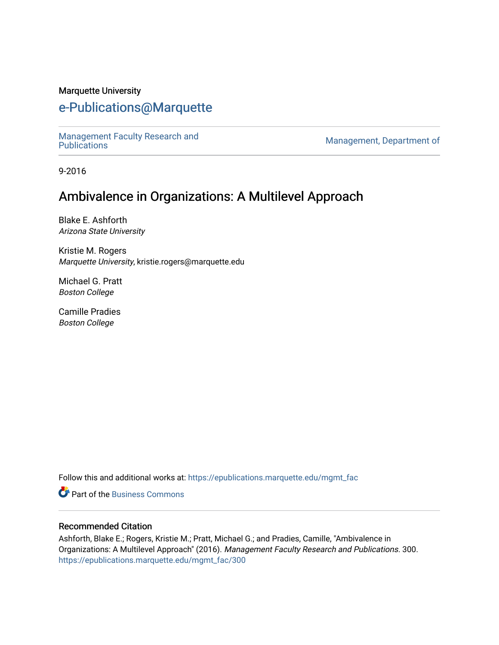#### Marquette University

## [e-Publications@Marquette](https://epublications.marquette.edu/)

Management Faculty Research and<br>Publications

Management, Department of

9-2016

# Ambivalence in Organizations: A Multilevel Approach

Blake E. Ashforth Arizona State University

Kristie M. Rogers Marquette University, kristie.rogers@marquette.edu

Michael G. Pratt Boston College

Camille Pradies Boston College

Follow this and additional works at: [https://epublications.marquette.edu/mgmt\\_fac](https://epublications.marquette.edu/mgmt_fac?utm_source=epublications.marquette.edu%2Fmgmt_fac%2F300&utm_medium=PDF&utm_campaign=PDFCoverPages) 

**C** Part of the [Business Commons](http://network.bepress.com/hgg/discipline/622?utm_source=epublications.marquette.edu%2Fmgmt_fac%2F300&utm_medium=PDF&utm_campaign=PDFCoverPages)

#### Recommended Citation

Ashforth, Blake E.; Rogers, Kristie M.; Pratt, Michael G.; and Pradies, Camille, "Ambivalence in Organizations: A Multilevel Approach" (2016). Management Faculty Research and Publications. 300. [https://epublications.marquette.edu/mgmt\\_fac/300](https://epublications.marquette.edu/mgmt_fac/300?utm_source=epublications.marquette.edu%2Fmgmt_fac%2F300&utm_medium=PDF&utm_campaign=PDFCoverPages)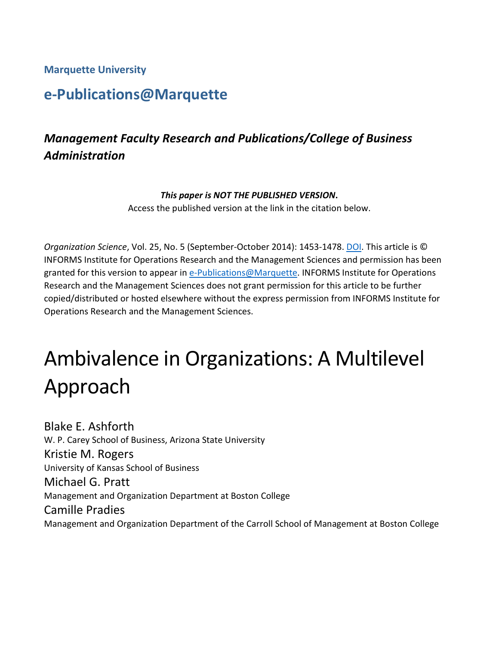**Marquette University**

# **e-Publications@Marquette**

# *Management Faculty Research and Publications/College of Business Administration*

#### *This paper is NOT THE PUBLISHED VERSION***.**

Access the published version at the link in the citation below.

*Organization Science*, Vol. 25, No. 5 (September-October 2014): 1453-1478. [DOI.](https://doi.org/10.1287/orsc.2014.0909) This article is © INFORMS Institute for Operations Research and the Management Sciences and permission has been granted for this version to appear in [e-Publications@Marquette.](http://epublications.marquette.edu/) INFORMS Institute for Operations Research and the Management Sciences does not grant permission for this article to be further copied/distributed or hosted elsewhere without the express permission from INFORMS Institute for Operations Research and the Management Sciences.

# Ambivalence in Organizations: A Multilevel Approach

Blake E. Ashforth W. P. Carey School of Business, Arizona State University Kristie M. Rogers University of Kansas School of Business Michael G. Pratt Management and Organization Department at Boston College Camille Pradies Management and Organization Department of the Carroll School of Management at Boston College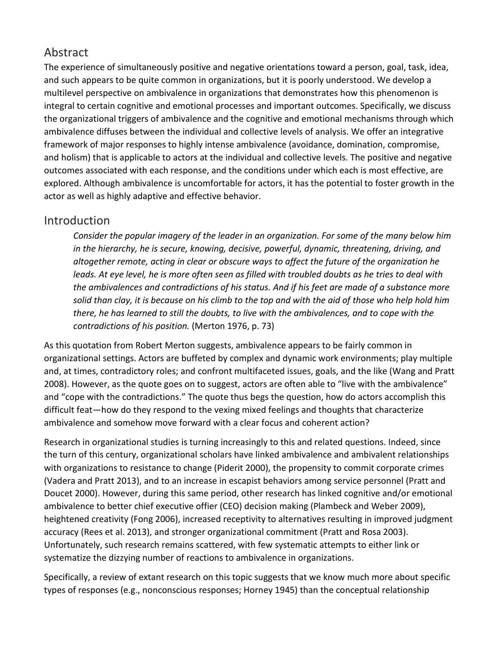## Abstract

The experience of simultaneously positive and negative orientations toward a person, goal, task, idea, and such appears to be quite common in organizations, but it is poorly understood. We develop a multilevel perspective on ambivalence in organizations that demonstrates how this phenomenon is integral to certain cognitive and emotional processes and important outcomes. Specifically, we discuss the organizational triggers of ambivalence and the cognitive and emotional mechanisms through which ambivalence diffuses between the individual and collective levels of analysis. We offer an integrative framework of major responses to highly intense ambivalence (avoidance, domination, compromise, and holism) that is applicable to actors at the individual and collective levels. The positive and negative outcomes associated with each response, and the conditions under which each is most effective, are explored. Although ambivalence is uncomfortable for actors, it has the potential to foster growth in the actor as well as highly adaptive and effective behavior.

## **Introduction**

*Consider the popular imagery of the leader in an organization. For some of the many below him in the hierarchy, he is secure, knowing, decisive, powerful, dynamic, threatening, driving, and altogether remote, acting in clear or obscure ways to affect the future of the organization he leads. At eye level, he is more often seen as filled with troubled doubts as he tries to deal with the ambivalences and contradictions of his status. And if his feet are made of a substance more solid than clay, it is because on his climb to the top and with the aid of those who help hold him there, he has learned to still the doubts, to live with the ambivalences, and to cope with the contradictions of his position.* (Merton 1976, p. 73)

As this quotation from Robert Merton suggests, ambivalence appears to be fairly common in organizational settings. Actors are buffeted by complex and dynamic work environments; play multiple and, at times, contradictory roles; and confront multifaceted issues, goals, and the like (Wang and Pratt 2008). However, as the quote goes on to suggest, actors are often able to "live with the ambivalence" and "cope with the contradictions." The quote thus begs the question, how do actors accomplish this difficult feat—how do they respond to the vexing mixed feelings and thoughts that characterize ambivalence and somehow move forward with a clear focus and coherent action?

Research in organizational studies is turning increasingly to this and related questions. Indeed, since the turn of this century, organizational scholars have linked ambivalence and ambivalent relationships with organizations to resistance to change (Piderit 2000), the propensity to commit corporate crimes (Vadera and Pratt 2013), and to an increase in escapist behaviors among service personnel (Pratt and Doucet 2000). However, during this same period, other research has linked cognitive and/or emotional ambivalence to better chief executive offier (CEO) decision making (Plambeck and Weber 2009), heightened creativity (Fong 2006), increased receptivity to alternatives resulting in improved judgment accuracy (Rees et al. 2013), and stronger organizational commitment (Pratt and Rosa 2003). Unfortunately, such research remains scattered, with few systematic attempts to either link or systematize the dizzying number of reactions to ambivalence in organizations.

Specifically, a review of extant research on this topic suggests that we know much more about specific types of responses (e.g., nonconscious responses; Horney 1945) than the conceptual relationship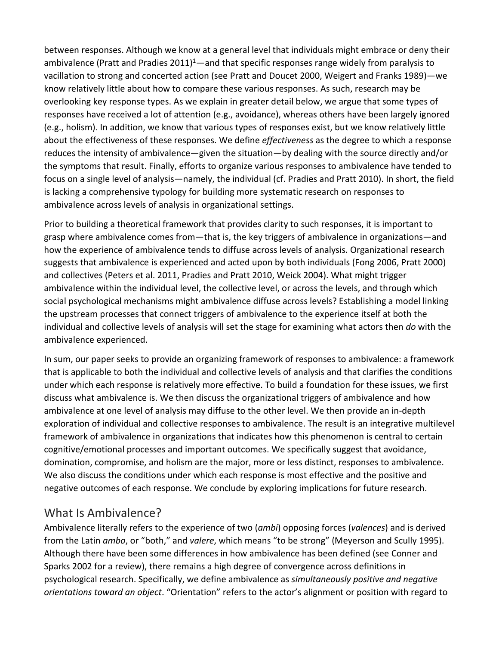between responses. Although we know at a general level that individuals might embrace or deny their ambivalence (Pratt and Pradies 2011)<sup>1</sup>—and that specific responses range widely from paralysis to vacillation to strong and concerted action (see Pratt and Doucet 2000, Weigert and Franks 1989)—we know relatively little about how to compare these various responses. As such, research may be overlooking key response types. As we explain in greater detail below, we argue that some types of responses have received a lot of attention (e.g., avoidance), whereas others have been largely ignored (e.g., holism). In addition, we know that various types of responses exist, but we know relatively little about the effectiveness of these responses. We define *effectiveness* as the degree to which a response reduces the intensity of ambivalence—given the situation—by dealing with the source directly and/or the symptoms that result. Finally, efforts to organize various responses to ambivalence have tended to focus on a single level of analysis—namely, the individual (cf. Pradies and Pratt 2010). In short, the field is lacking a comprehensive typology for building more systematic research on responses to ambivalence across levels of analysis in organizational settings.

Prior to building a theoretical framework that provides clarity to such responses, it is important to grasp where ambivalence comes from—that is, the key triggers of ambivalence in organizations—and how the experience of ambivalence tends to diffuse across levels of analysis. Organizational research suggests that ambivalence is experienced and acted upon by both individuals (Fong 2006, Pratt 2000) and collectives (Peters et al. 2011, Pradies and Pratt 2010, Weick 2004). What might trigger ambivalence within the individual level, the collective level, or across the levels, and through which social psychological mechanisms might ambivalence diffuse across levels? Establishing a model linking the upstream processes that connect triggers of ambivalence to the experience itself at both the individual and collective levels of analysis will set the stage for examining what actors then *do* with the ambivalence experienced.

In sum, our paper seeks to provide an organizing framework of responses to ambivalence: a framework that is applicable to both the individual and collective levels of analysis and that clarifies the conditions under which each response is relatively more effective. To build a foundation for these issues, we first discuss what ambivalence is. We then discuss the organizational triggers of ambivalence and how ambivalence at one level of analysis may diffuse to the other level. We then provide an in-depth exploration of individual and collective responses to ambivalence. The result is an integrative multilevel framework of ambivalence in organizations that indicates how this phenomenon is central to certain cognitive/emotional processes and important outcomes. We specifically suggest that avoidance, domination, compromise, and holism are the major, more or less distinct, responses to ambivalence. We also discuss the conditions under which each response is most effective and the positive and negative outcomes of each response. We conclude by exploring implications for future research.

## What Is Ambivalence?

Ambivalence literally refers to the experience of two (*ambi*) opposing forces (*valences*) and is derived from the Latin *ambo*, or "both," and *valere*, which means "to be strong" (Meyerson and Scully 1995). Although there have been some differences in how ambivalence has been defined (see Conner and Sparks 2002 for a review), there remains a high degree of convergence across definitions in psychological research. Specifically, we define ambivalence as *simultaneously positive and negative orientations toward an object*. "Orientation" refers to the actor's alignment or position with regard to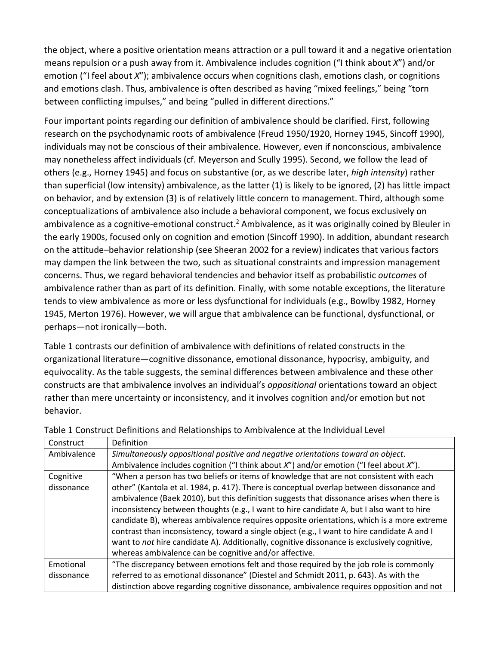the object, where a positive orientation means attraction or a pull toward it and a negative orientation means repulsion or a push away from it. Ambivalence includes cognition ("I think about *X*") and/or emotion ("I feel about *X*"); ambivalence occurs when cognitions clash, emotions clash, or cognitions and emotions clash. Thus, ambivalence is often described as having "mixed feelings," being "torn between conflicting impulses," and being "pulled in different directions."

Four important points regarding our definition of ambivalence should be clarified. First, following research on the psychodynamic roots of ambivalence (Freud 1950/1920, Horney 1945, Sincoff 1990), individuals may not be conscious of their ambivalence. However, even if nonconscious, ambivalence may nonetheless affect individuals (cf. Meyerson and Scully 1995). Second, we follow the lead of others (e.g., Horney 1945) and focus on substantive (or, as we describe later, *high intensity*) rather than superficial (low intensity) ambivalence, as the latter (1) is likely to be ignored, (2) has little impact on behavior, and by extension (3) is of relatively little concern to management. Third, although some conceptualizations of ambivalence also include a behavioral component, we focus exclusively on ambivalence as a cognitive-emotional construct.<sup>2</sup> Ambivalence, as it was originally coined by Bleuler in the early 1900s, focused only on cognition and emotion (Sincoff 1990). In addition, abundant research on the attitude–behavior relationship (see Sheeran 2002 for a review) indicates that various factors may dampen the link between the two, such as situational constraints and impression management concerns. Thus, we regard behavioral tendencies and behavior itself as probabilistic *outcomes* of ambivalence rather than as part of its definition. Finally, with some notable exceptions, the literature tends to view ambivalence as more or less dysfunctional for individuals (e.g., Bowlby 1982, Horney 1945, Merton 1976). However, we will argue that ambivalence can be functional, dysfunctional, or perhaps—not ironically—both.

Table 1 contrasts our definition of ambivalence with definitions of related constructs in the organizational literature—cognitive dissonance, emotional dissonance, hypocrisy, ambiguity, and equivocality. As the table suggests, the seminal differences between ambivalence and these other constructs are that ambivalence involves an individual's *oppositional* orientations toward an object rather than mere uncertainty or inconsistency, and it involves cognition and/or emotion but not behavior.

| Construct   | Definition                                                                                    |
|-------------|-----------------------------------------------------------------------------------------------|
| Ambivalence | Simultaneously oppositional positive and negative orientations toward an object.              |
|             | Ambivalence includes cognition ("I think about $X''$ ) and/or emotion ("I feel about $X''$ ). |
| Cognitive   | "When a person has two beliefs or items of knowledge that are not consistent with each        |
| dissonance  | other" (Kantola et al. 1984, p. 417). There is conceptual overlap between dissonance and      |
|             | ambivalence (Baek 2010), but this definition suggests that dissonance arises when there is    |
|             | inconsistency between thoughts (e.g., I want to hire candidate A, but I also want to hire     |
|             | candidate B), whereas ambivalence requires opposite orientations, which is a more extreme     |
|             | contrast than inconsistency, toward a single object (e.g., I want to hire candidate A and I   |
|             | want to not hire candidate A). Additionally, cognitive dissonance is exclusively cognitive,   |
|             | whereas ambivalence can be cognitive and/or affective.                                        |
| Emotional   | "The discrepancy between emotions felt and those required by the job role is commonly         |
| dissonance  | referred to as emotional dissonance" (Diestel and Schmidt 2011, p. 643). As with the          |
|             | distinction above regarding cognitive dissonance, ambivalence requires opposition and not     |

Table 1 Construct Definitions and Relationships to Ambivalence at the Individual Level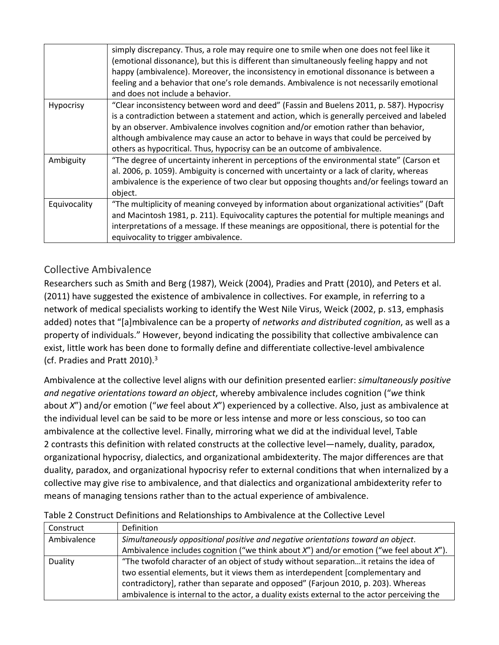|              | simply discrepancy. Thus, a role may require one to smile when one does not feel like it<br>(emotional dissonance), but this is different than simultaneously feeling happy and not<br>happy (ambivalence). Moreover, the inconsistency in emotional dissonance is between a |
|--------------|------------------------------------------------------------------------------------------------------------------------------------------------------------------------------------------------------------------------------------------------------------------------------|
|              | feeling and a behavior that one's role demands. Ambivalence is not necessarily emotional                                                                                                                                                                                     |
|              | and does not include a behavior.                                                                                                                                                                                                                                             |
| Hypocrisy    | "Clear inconsistency between word and deed" (Fassin and Buelens 2011, p. 587). Hypocrisy                                                                                                                                                                                     |
|              | is a contradiction between a statement and action, which is generally perceived and labeled                                                                                                                                                                                  |
|              | by an observer. Ambivalence involves cognition and/or emotion rather than behavior,                                                                                                                                                                                          |
|              | although ambivalence may cause an actor to behave in ways that could be perceived by                                                                                                                                                                                         |
|              | others as hypocritical. Thus, hypocrisy can be an outcome of ambivalence.                                                                                                                                                                                                    |
| Ambiguity    | "The degree of uncertainty inherent in perceptions of the environmental state" (Carson et                                                                                                                                                                                    |
|              | al. 2006, p. 1059). Ambiguity is concerned with uncertainty or a lack of clarity, whereas                                                                                                                                                                                    |
|              | ambivalence is the experience of two clear but opposing thoughts and/or feelings toward an                                                                                                                                                                                   |
|              | object.                                                                                                                                                                                                                                                                      |
| Equivocality | "The multiplicity of meaning conveyed by information about organizational activities" (Daft                                                                                                                                                                                  |
|              | and Macintosh 1981, p. 211). Equivocality captures the potential for multiple meanings and                                                                                                                                                                                   |
|              | interpretations of a message. If these meanings are oppositional, there is potential for the                                                                                                                                                                                 |
|              | equivocality to trigger ambivalence.                                                                                                                                                                                                                                         |

## Collective Ambivalence

Researchers such as Smith and Berg (1987), Weick (2004), Pradies and Pratt (2010), and Peters et al. (2011) have suggested the existence of ambivalence in collectives. For example, in referring to a network of medical specialists working to identify the West Nile Virus, Weick (2002, p. s13, emphasis added) notes that "[a]mbivalence can be a property of *networks and distributed cognition*, as well as a property of individuals." However, beyond indicating the possibility that collective ambivalence can exist, little work has been done to formally define and differentiate collective-level ambivalence (cf. Pradies and Pratt 2010).3

Ambivalence at the collective level aligns with our definition presented earlier: *simultaneously positive and negative orientations toward an object*, whereby ambivalence includes cognition ("*we* think about *X*") and/or emotion ("*we* feel about *X*") experienced by a collective. Also, just as ambivalence at the individual level can be said to be more or less intense and more or less conscious, so too can ambivalence at the collective level. Finally, mirroring what we did at the individual level, Table 2 contrasts this definition with related constructs at the collective level—namely, duality, paradox, organizational hypocrisy, dialectics, and organizational ambidexterity. The major differences are that duality, paradox, and organizational hypocrisy refer to external conditions that when internalized by a collective may give rise to ambivalence, and that dialectics and organizational ambidexterity refer to means of managing tensions rather than to the actual experience of ambivalence.

| Construct   | Definition                                                                                      |  |  |  |  |
|-------------|-------------------------------------------------------------------------------------------------|--|--|--|--|
| Ambivalence | Simultaneously oppositional positive and negative orientations toward an object.                |  |  |  |  |
|             | Ambivalence includes cognition ("we think about $X''$ ) and/or emotion ("we feel about $X''$ ). |  |  |  |  |
| Duality     | "The twofold character of an object of study without separationit retains the idea of           |  |  |  |  |
|             | two essential elements, but it views them as interdependent [complementary and                  |  |  |  |  |
|             | contradictory], rather than separate and opposed" (Farjoun 2010, p. 203). Whereas               |  |  |  |  |
|             | ambivalence is internal to the actor, a duality exists external to the actor perceiving the     |  |  |  |  |

Table 2 Construct Definitions and Relationships to Ambivalence at the Collective Level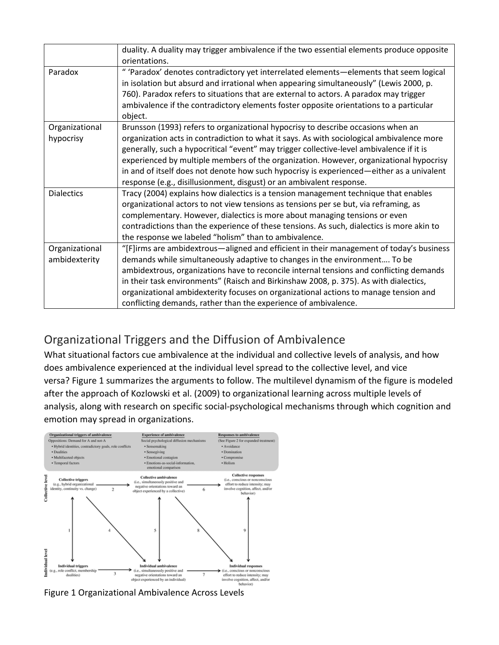|                   | duality. A duality may trigger ambivalence if the two essential elements produce opposite |
|-------------------|-------------------------------------------------------------------------------------------|
|                   | orientations.                                                                             |
| Paradox           | " 'Paradox' denotes contradictory yet interrelated elements-elements that seem logical    |
|                   | in isolation but absurd and irrational when appearing simultaneously" (Lewis 2000, p.     |
|                   | 760). Paradox refers to situations that are external to actors. A paradox may trigger     |
|                   | ambivalence if the contradictory elements foster opposite orientations to a particular    |
|                   | object.                                                                                   |
| Organizational    | Brunsson (1993) refers to organizational hypocrisy to describe occasions when an          |
| hypocrisy         | organization acts in contradiction to what it says. As with sociological ambivalence more |
|                   | generally, such a hypocritical "event" may trigger collective-level ambivalence if it is  |
|                   | experienced by multiple members of the organization. However, organizational hypocrisy    |
|                   | in and of itself does not denote how such hypocrisy is experienced—either as a univalent  |
|                   | response (e.g., disillusionment, disgust) or an ambivalent response.                      |
| <b>Dialectics</b> | Tracy (2004) explains how dialectics is a tension management technique that enables       |
|                   | organizational actors to not view tensions as tensions per se but, via reframing, as      |
|                   | complementary. However, dialectics is more about managing tensions or even                |
|                   | contradictions than the experience of these tensions. As such, dialectics is more akin to |
|                   | the response we labeled "holism" than to ambivalence.                                     |
| Organizational    | "[F]irms are ambidextrous-aligned and efficient in their management of today's business   |
| ambidexterity     | demands while simultaneously adaptive to changes in the environment To be                 |
|                   | ambidextrous, organizations have to reconcile internal tensions and conflicting demands   |
|                   | in their task environments" (Raisch and Birkinshaw 2008, p. 375). As with dialectics,     |
|                   | organizational ambidexterity focuses on organizational actions to manage tension and      |
|                   | conflicting demands, rather than the experience of ambivalence.                           |

# Organizational Triggers and the Diffusion of Ambivalence

What situational factors cue ambivalence at the individual and collective levels of analysis, and how does ambivalence experienced at the individual level spread to the collective level, and vice versa? Figure 1 summarizes the arguments to follow. The multilevel dynamism of the figure is modeled after the approach of Kozlowski et al. (2009) to organizational learning across multiple levels of analysis, along with research on specific social-psychological mechanisms through which cognition and emotion may spread in organizations.



Figure 1 Organizational Ambivalence Across Levels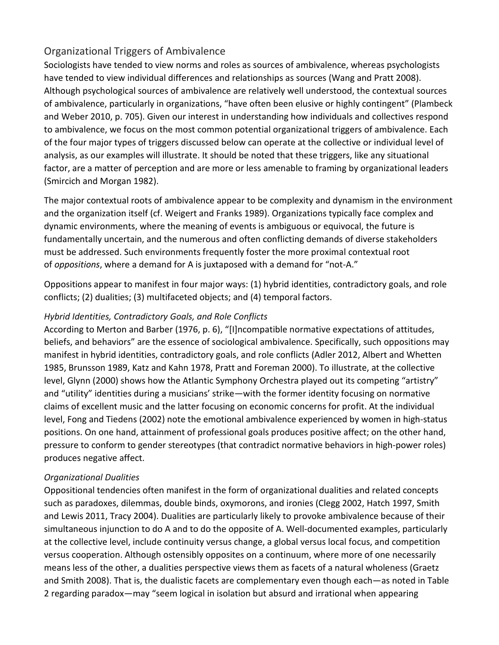## Organizational Triggers of Ambivalence

Sociologists have tended to view norms and roles as sources of ambivalence, whereas psychologists have tended to view individual differences and relationships as sources (Wang and Pratt 2008). Although psychological sources of ambivalence are relatively well understood, the contextual sources of ambivalence, particularly in organizations, "have often been elusive or highly contingent" (Plambeck and Weber 2010, p. 705). Given our interest in understanding how individuals and collectives respond to ambivalence, we focus on the most common potential organizational triggers of ambivalence. Each of the four major types of triggers discussed below can operate at the collective or individual level of analysis, as our examples will illustrate. It should be noted that these triggers, like any situational factor, are a matter of perception and are more or less amenable to framing by organizational leaders (Smircich and Morgan 1982).

The major contextual roots of ambivalence appear to be complexity and dynamism in the environment and the organization itself (cf. Weigert and Franks 1989). Organizations typically face complex and dynamic environments, where the meaning of events is ambiguous or equivocal, the future is fundamentally uncertain, and the numerous and often conflicting demands of diverse stakeholders must be addressed. Such environments frequently foster the more proximal contextual root of *oppositions*, where a demand for A is juxtaposed with a demand for "not-A."

Oppositions appear to manifest in four major ways: (1) hybrid identities, contradictory goals, and role conflicts; (2) dualities; (3) multifaceted objects; and (4) temporal factors.

## *Hybrid Identities, Contradictory Goals, and Role Conflicts*

According to Merton and Barber (1976, p. 6), "[I]ncompatible normative expectations of attitudes, beliefs, and behaviors" are the essence of sociological ambivalence. Specifically, such oppositions may manifest in hybrid identities, contradictory goals, and role conflicts (Adler 2012, Albert and Whetten 1985, Brunsson 1989, Katz and Kahn 1978, Pratt and Foreman 2000). To illustrate, at the collective level, Glynn (2000) shows how the Atlantic Symphony Orchestra played out its competing "artistry" and "utility" identities during a musicians' strike—with the former identity focusing on normative claims of excellent music and the latter focusing on economic concerns for profit. At the individual level, Fong and Tiedens (2002) note the emotional ambivalence experienced by women in high-status positions. On one hand, attainment of professional goals produces positive affect; on the other hand, pressure to conform to gender stereotypes (that contradict normative behaviors in high-power roles) produces negative affect.

## *Organizational Dualities*

Oppositional tendencies often manifest in the form of organizational dualities and related concepts such as paradoxes, dilemmas, double binds, oxymorons, and ironies (Clegg 2002, Hatch 1997, Smith and Lewis 2011, Tracy 2004). Dualities are particularly likely to provoke ambivalence because of their simultaneous injunction to do A and to do the opposite of A. Well-documented examples, particularly at the collective level, include continuity versus change, a global versus local focus, and competition versus cooperation. Although ostensibly opposites on a continuum, where more of one necessarily means less of the other, a dualities perspective views them as facets of a natural wholeness (Graetz and Smith 2008). That is, the dualistic facets are complementary even though each—as noted in Table 2 regarding paradox—may "seem logical in isolation but absurd and irrational when appearing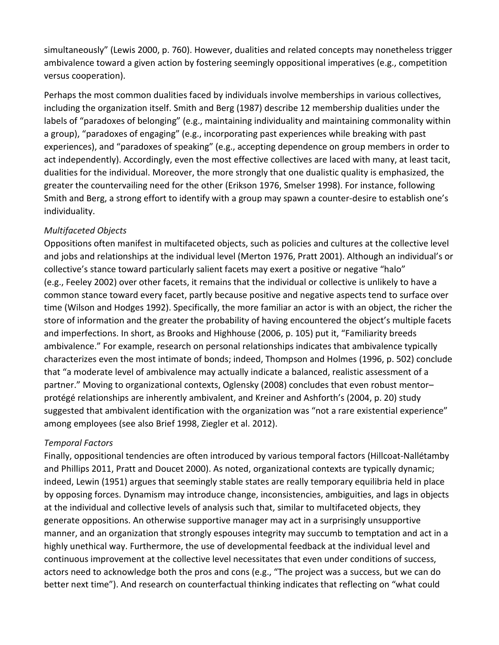simultaneously" (Lewis 2000, p. 760). However, dualities and related concepts may nonetheless trigger ambivalence toward a given action by fostering seemingly oppositional imperatives (e.g., competition versus cooperation).

Perhaps the most common dualities faced by individuals involve memberships in various collectives, including the organization itself. Smith and Berg (1987) describe 12 membership dualities under the labels of "paradoxes of belonging" (e.g., maintaining individuality and maintaining commonality within a group), "paradoxes of engaging" (e.g., incorporating past experiences while breaking with past experiences), and "paradoxes of speaking" (e.g., accepting dependence on group members in order to act independently). Accordingly, even the most effective collectives are laced with many, at least tacit, dualities for the individual. Moreover, the more strongly that one dualistic quality is emphasized, the greater the countervailing need for the other (Erikson 1976, Smelser 1998). For instance, following Smith and Berg, a strong effort to identify with a group may spawn a counter-desire to establish one's individuality.

## *Multifaceted Objects*

Oppositions often manifest in multifaceted objects, such as policies and cultures at the collective level and jobs and relationships at the individual level (Merton 1976, Pratt 2001). Although an individual's or collective's stance toward particularly salient facets may exert a positive or negative "halo" (e.g., Feeley 2002) over other facets, it remains that the individual or collective is unlikely to have a common stance toward every facet, partly because positive and negative aspects tend to surface over time (Wilson and Hodges 1992). Specifically, the more familiar an actor is with an object, the richer the store of information and the greater the probability of having encountered the object's multiple facets and imperfections. In short, as Brooks and Highhouse (2006, p. 105) put it, "Familiarity breeds ambivalence." For example, research on personal relationships indicates that ambivalence typically characterizes even the most intimate of bonds; indeed, Thompson and Holmes (1996, p. 502) conclude that "a moderate level of ambivalence may actually indicate a balanced, realistic assessment of a partner." Moving to organizational contexts, Oglensky (2008) concludes that even robust mentor– protégé relationships are inherently ambivalent, and Kreiner and Ashforth's (2004, p. 20) study suggested that ambivalent identification with the organization was "not a rare existential experience" among employees (see also Brief 1998, Ziegler et al. 2012).

## *Temporal Factors*

Finally, oppositional tendencies are often introduced by various temporal factors (Hillcoat-Nallétamby and Phillips 2011, Pratt and Doucet 2000). As noted, organizational contexts are typically dynamic; indeed, Lewin (1951) argues that seemingly stable states are really temporary equilibria held in place by opposing forces. Dynamism may introduce change, inconsistencies, ambiguities, and lags in objects at the individual and collective levels of analysis such that, similar to multifaceted objects, they generate oppositions. An otherwise supportive manager may act in a surprisingly unsupportive manner, and an organization that strongly espouses integrity may succumb to temptation and act in a highly unethical way. Furthermore, the use of developmental feedback at the individual level and continuous improvement at the collective level necessitates that even under conditions of success, actors need to acknowledge both the pros and cons (e.g., "The project was a success, but we can do better next time"). And research on counterfactual thinking indicates that reflecting on "what could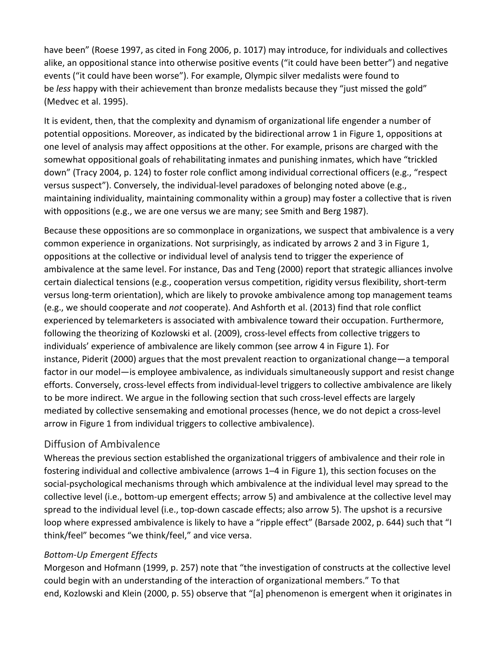have been" (Roese 1997, as cited in Fong 2006, p. 1017) may introduce, for individuals and collectives alike, an oppositional stance into otherwise positive events ("it could have been better") and negative events ("it could have been worse"). For example, Olympic silver medalists were found to be *less* happy with their achievement than bronze medalists because they "just missed the gold" (Medvec et al. 1995).

It is evident, then, that the complexity and dynamism of organizational life engender a number of potential oppositions. Moreover, as indicated by the bidirectional arrow 1 in Figure 1, oppositions at one level of analysis may affect oppositions at the other. For example, prisons are charged with the somewhat oppositional goals of rehabilitating inmates and punishing inmates, which have "trickled down" (Tracy 2004, p. 124) to foster role conflict among individual correctional officers (e.g., "respect versus suspect"). Conversely, the individual-level paradoxes of belonging noted above (e.g., maintaining individuality, maintaining commonality within a group) may foster a collective that is riven with oppositions (e.g., we are one versus we are many; see Smith and Berg 1987).

Because these oppositions are so commonplace in organizations, we suspect that ambivalence is a very common experience in organizations. Not surprisingly, as indicated by arrows 2 and 3 in Figure 1, oppositions at the collective or individual level of analysis tend to trigger the experience of ambivalence at the same level. For instance, Das and Teng (2000) report that strategic alliances involve certain dialectical tensions (e.g., cooperation versus competition, rigidity versus flexibility, short-term versus long-term orientation), which are likely to provoke ambivalence among top management teams (e.g., we should cooperate and *not* cooperate). And Ashforth et al. (2013) find that role conflict experienced by telemarketers is associated with ambivalence toward their occupation. Furthermore, following the theorizing of Kozlowski et al. (2009), cross-level effects from collective triggers to individuals' experience of ambivalence are likely common (see arrow 4 in Figure 1). For instance, Piderit (2000) argues that the most prevalent reaction to organizational change—a temporal factor in our model—is employee ambivalence, as individuals simultaneously support and resist change efforts. Conversely, cross-level effects from individual-level triggers to collective ambivalence are likely to be more indirect. We argue in the following section that such cross-level effects are largely mediated by collective sensemaking and emotional processes (hence, we do not depict a cross-level arrow in Figure 1 from individual triggers to collective ambivalence).

## Diffusion of Ambivalence

Whereas the previous section established the organizational triggers of ambivalence and their role in fostering individual and collective ambivalence (arrows 1–4 in Figure 1), this section focuses on the social-psychological mechanisms through which ambivalence at the individual level may spread to the collective level (i.e., bottom-up emergent effects; arrow 5) and ambivalence at the collective level may spread to the individual level (i.e., top-down cascade effects; also arrow 5). The upshot is a recursive loop where expressed ambivalence is likely to have a "ripple effect" (Barsade 2002, p. 644) such that "I think/feel" becomes "we think/feel," and vice versa.

## *Bottom-Up Emergent Effects*

Morgeson and Hofmann (1999, p. 257) note that "the investigation of constructs at the collective level could begin with an understanding of the interaction of organizational members." To that end, Kozlowski and Klein (2000, p. 55) observe that "[a] phenomenon is emergent when it originates in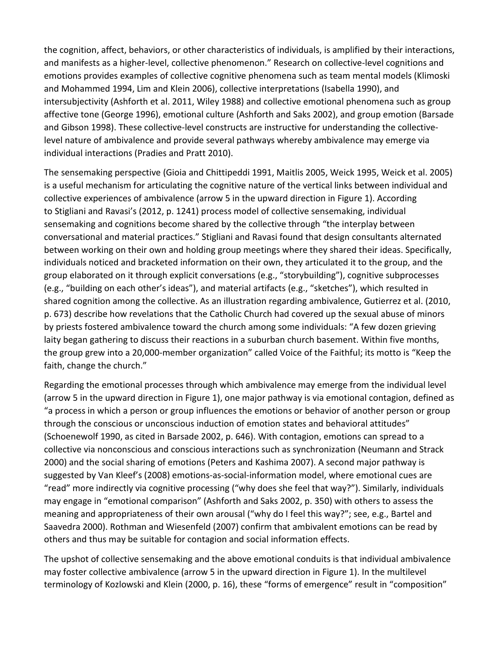the cognition, affect, behaviors, or other characteristics of individuals, is amplified by their interactions, and manifests as a higher-level, collective phenomenon." Research on collective-level cognitions and emotions provides examples of collective cognitive phenomena such as team mental models (Klimoski and Mohammed 1994, Lim and Klein 2006), collective interpretations (Isabella 1990), and intersubjectivity (Ashforth et al. 2011, Wiley 1988) and collective emotional phenomena such as group affective tone (George 1996), emotional culture (Ashforth and Saks 2002), and group emotion (Barsade and Gibson 1998). These collective-level constructs are instructive for understanding the collectivelevel nature of ambivalence and provide several pathways whereby ambivalence may emerge via individual interactions (Pradies and Pratt 2010).

The sensemaking perspective (Gioia and Chittipeddi 1991, Maitlis 2005, Weick 1995, Weick et al. 2005) is a useful mechanism for articulating the cognitive nature of the vertical links between individual and collective experiences of ambivalence (arrow 5 in the upward direction in Figure 1). According to Stigliani and Ravasi's (2012, p. 1241) process model of collective sensemaking, individual sensemaking and cognitions become shared by the collective through "the interplay between conversational and material practices." Stigliani and Ravasi found that design consultants alternated between working on their own and holding group meetings where they shared their ideas. Specifically, individuals noticed and bracketed information on their own, they articulated it to the group, and the group elaborated on it through explicit conversations (e.g., "storybuilding"), cognitive subprocesses (e.g., "building on each other's ideas"), and material artifacts (e.g., "sketches"), which resulted in shared cognition among the collective. As an illustration regarding ambivalence, Gutierrez et al. (2010, p. 673) describe how revelations that the Catholic Church had covered up the sexual abuse of minors by priests fostered ambivalence toward the church among some individuals: "A few dozen grieving laity began gathering to discuss their reactions in a suburban church basement. Within five months, the group grew into a 20,000-member organization" called Voice of the Faithful; its motto is "Keep the faith, change the church."

Regarding the emotional processes through which ambivalence may emerge from the individual level (arrow 5 in the upward direction in Figure 1), one major pathway is via emotional contagion, defined as "a process in which a person or group influences the emotions or behavior of another person or group through the conscious or unconscious induction of emotion states and behavioral attitudes" (Schoenewolf 1990, as cited in Barsade 2002, p. 646). With contagion, emotions can spread to a collective via nonconscious and conscious interactions such as synchronization (Neumann and Strack 2000) and the social sharing of emotions (Peters and Kashima 2007). A second major pathway is suggested by Van Kleef's (2008) emotions-as-social-information model, where emotional cues are "read" more indirectly via cognitive processing ("why does she feel that way?"). Similarly, individuals may engage in "emotional comparison" (Ashforth and Saks 2002, p. 350) with others to assess the meaning and appropriateness of their own arousal ("why do I feel this way?"; see, e.g., Bartel and Saavedra 2000). Rothman and Wiesenfeld (2007) confirm that ambivalent emotions can be read by others and thus may be suitable for contagion and social information effects.

The upshot of collective sensemaking and the above emotional conduits is that individual ambivalence may foster collective ambivalence (arrow 5 in the upward direction in Figure 1). In the multilevel terminology of Kozlowski and Klein (2000, p. 16), these "forms of emergence" result in "composition"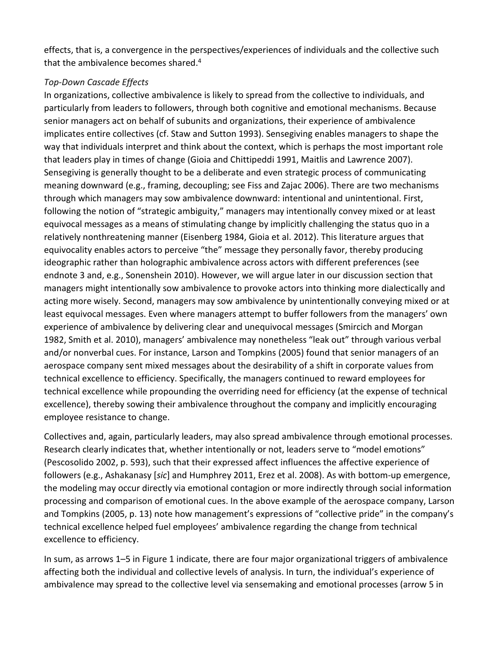effects, that is, a convergence in the perspectives/experiences of individuals and the collective such that the ambivalence becomes shared.<sup>4</sup>

## *Top-Down Cascade Effects*

In organizations, collective ambivalence is likely to spread from the collective to individuals, and particularly from leaders to followers, through both cognitive and emotional mechanisms. Because senior managers act on behalf of subunits and organizations, their experience of ambivalence implicates entire collectives (cf. Staw and Sutton 1993). Sensegiving enables managers to shape the way that individuals interpret and think about the context, which is perhaps the most important role that leaders play in times of change (Gioia and Chittipeddi 1991, Maitlis and Lawrence 2007). Sensegiving is generally thought to be a deliberate and even strategic process of communicating meaning downward (e.g., framing, decoupling; see Fiss and Zajac 2006). There are two mechanisms through which managers may sow ambivalence downward: intentional and unintentional. First, following the notion of "strategic ambiguity," managers may intentionally convey mixed or at least equivocal messages as a means of stimulating change by implicitly challenging the status quo in a relatively nonthreatening manner (Eisenberg 1984, Gioia et al. 2012). This literature argues that equivocality enables actors to perceive "the" message they personally favor, thereby producing ideographic rather than holographic ambivalence across actors with different preferences (see endnote 3 and, e.g., Sonenshein 2010). However, we will argue later in our discussion section that managers might intentionally sow ambivalence to provoke actors into thinking more dialectically and acting more wisely. Second, managers may sow ambivalence by unintentionally conveying mixed or at least equivocal messages. Even where managers attempt to buffer followers from the managers' own experience of ambivalence by delivering clear and unequivocal messages (Smircich and Morgan 1982, Smith et al. 2010), managers' ambivalence may nonetheless "leak out" through various verbal and/or nonverbal cues. For instance, Larson and Tompkins (2005) found that senior managers of an aerospace company sent mixed messages about the desirability of a shift in corporate values from technical excellence to efficiency. Specifically, the managers continued to reward employees for technical excellence while propounding the overriding need for efficiency (at the expense of technical excellence), thereby sowing their ambivalence throughout the company and implicitly encouraging employee resistance to change.

Collectives and, again, particularly leaders, may also spread ambivalence through emotional processes. Research clearly indicates that, whether intentionally or not, leaders serve to "model emotions" (Pescosolido 2002, p. 593), such that their expressed affect influences the affective experience of followers (e.g., Ashakanasy [*sic*] and Humphrey 2011, Erez et al. 2008). As with bottom-up emergence, the modeling may occur directly via emotional contagion or more indirectly through social information processing and comparison of emotional cues. In the above example of the aerospace company, Larson and Tompkins (2005, p. 13) note how management's expressions of "collective pride" in the company's technical excellence helped fuel employees' ambivalence regarding the change from technical excellence to efficiency.

In sum, as arrows 1–5 in Figure 1 indicate, there are four major organizational triggers of ambivalence affecting both the individual and collective levels of analysis. In turn, the individual's experience of ambivalence may spread to the collective level via sensemaking and emotional processes (arrow 5 in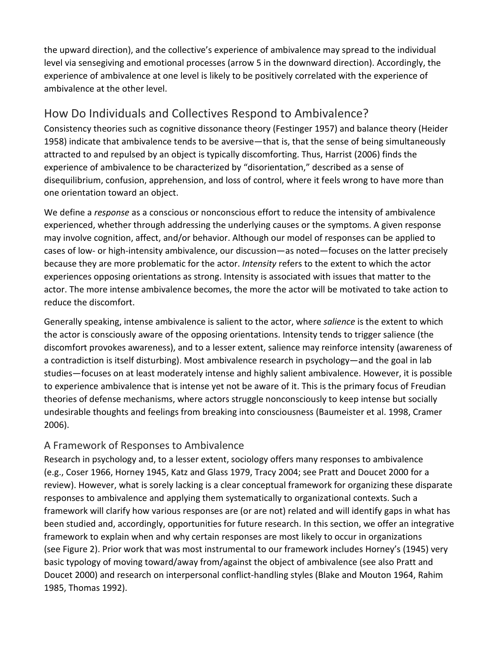the upward direction), and the collective's experience of ambivalence may spread to the individual level via sensegiving and emotional processes (arrow 5 in the downward direction). Accordingly, the experience of ambivalence at one level is likely to be positively correlated with the experience of ambivalence at the other level.

# How Do Individuals and Collectives Respond to Ambivalence?

Consistency theories such as cognitive dissonance theory (Festinger 1957) and balance theory (Heider 1958) indicate that ambivalence tends to be aversive—that is, that the sense of being simultaneously attracted to and repulsed by an object is typically discomforting. Thus, Harrist (2006) finds the experience of ambivalence to be characterized by "disorientation," described as a sense of disequilibrium, confusion, apprehension, and loss of control, where it feels wrong to have more than one orientation toward an object.

We define a *response* as a conscious or nonconscious effort to reduce the intensity of ambivalence experienced, whether through addressing the underlying causes or the symptoms. A given response may involve cognition, affect, and/or behavior. Although our model of responses can be applied to cases of low- or high-intensity ambivalence, our discussion—as noted—focuses on the latter precisely because they are more problematic for the actor. *Intensity* refers to the extent to which the actor experiences opposing orientations as strong. Intensity is associated with issues that matter to the actor. The more intense ambivalence becomes, the more the actor will be motivated to take action to reduce the discomfort.

Generally speaking, intense ambivalence is salient to the actor, where *salience* is the extent to which the actor is consciously aware of the opposing orientations. Intensity tends to trigger salience (the discomfort provokes awareness), and to a lesser extent, salience may reinforce intensity (awareness of a contradiction is itself disturbing). Most ambivalence research in psychology—and the goal in lab studies—focuses on at least moderately intense and highly salient ambivalence. However, it is possible to experience ambivalence that is intense yet not be aware of it. This is the primary focus of Freudian theories of defense mechanisms, where actors struggle nonconsciously to keep intense but socially undesirable thoughts and feelings from breaking into consciousness (Baumeister et al. 1998, Cramer 2006).

## A Framework of Responses to Ambivalence

Research in psychology and, to a lesser extent, sociology offers many responses to ambivalence (e.g., Coser 1966, Horney 1945, Katz and Glass 1979, Tracy 2004; see Pratt and Doucet 2000 for a review). However, what is sorely lacking is a clear conceptual framework for organizing these disparate responses to ambivalence and applying them systematically to organizational contexts. Such a framework will clarify how various responses are (or are not) related and will identify gaps in what has been studied and, accordingly, opportunities for future research. In this section, we offer an integrative framework to explain when and why certain responses are most likely to occur in organizations (see Figure 2). Prior work that was most instrumental to our framework includes Horney's (1945) very basic typology of moving toward/away from/against the object of ambivalence (see also Pratt and Doucet 2000) and research on interpersonal conflict-handling styles (Blake and Mouton 1964, Rahim 1985, Thomas 1992).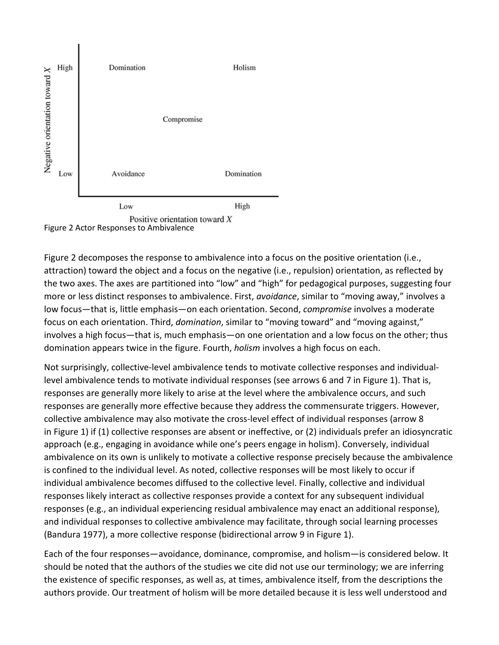

Figure 2 Actor Responses to Ambivalence

Figure 2 decomposes the response to ambivalence into a focus on the positive orientation (i.e., attraction) toward the object and a focus on the negative (i.e., repulsion) orientation, as reflected by the two axes. The axes are partitioned into "low" and "high" for pedagogical purposes, suggesting four more or less distinct responses to ambivalence. First, *avoidance*, similar to "moving away," involves a low focus—that is, little emphasis—on each orientation. Second, *compromise* involves a moderate focus on each orientation. Third, *domination*, similar to "moving toward" and "moving against," involves a high focus—that is, much emphasis—on one orientation and a low focus on the other; thus domination appears twice in the figure. Fourth, *holism* involves a high focus on each.

Not surprisingly, collective-level ambivalence tends to motivate collective responses and individuallevel ambivalence tends to motivate individual responses (see arrows 6 and 7 in Figure 1). That is, responses are generally more likely to arise at the level where the ambivalence occurs, and such responses are generally more effective because they address the commensurate triggers. However, collective ambivalence may also motivate the cross-level effect of individual responses (arrow 8 in Figure 1) if (1) collective responses are absent or ineffective, or (2) individuals prefer an idiosyncratic approach (e.g., engaging in avoidance while one's peers engage in holism). Conversely, individual ambivalence on its own is unlikely to motivate a collective response precisely because the ambivalence is confined to the individual level. As noted, collective responses will be most likely to occur if individual ambivalence becomes diffused to the collective level. Finally, collective and individual responses likely interact as collective responses provide a context for any subsequent individual responses (e.g., an individual experiencing residual ambivalence may enact an additional response), and individual responses to collective ambivalence may facilitate, through social learning processes (Bandura 1977), a more collective response (bidirectional arrow 9 in Figure 1).

Each of the four responses—avoidance, dominance, compromise, and holism—is considered below. It should be noted that the authors of the studies we cite did not use our terminology; we are inferring the existence of specific responses, as well as, at times, ambivalence itself, from the descriptions the authors provide. Our treatment of holism will be more detailed because it is less well understood and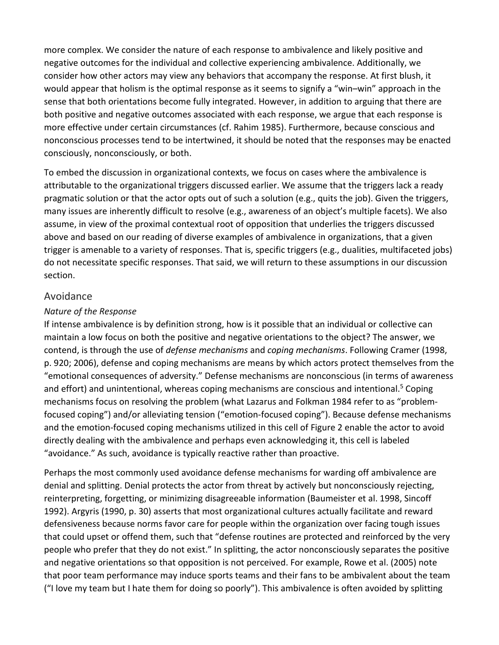more complex. We consider the nature of each response to ambivalence and likely positive and negative outcomes for the individual and collective experiencing ambivalence. Additionally, we consider how other actors may view any behaviors that accompany the response. At first blush, it would appear that holism is the optimal response as it seems to signify a "win–win" approach in the sense that both orientations become fully integrated. However, in addition to arguing that there are both positive and negative outcomes associated with each response, we argue that each response is more effective under certain circumstances (cf. Rahim 1985). Furthermore, because conscious and nonconscious processes tend to be intertwined, it should be noted that the responses may be enacted consciously, nonconsciously, or both.

To embed the discussion in organizational contexts, we focus on cases where the ambivalence is attributable to the organizational triggers discussed earlier. We assume that the triggers lack a ready pragmatic solution or that the actor opts out of such a solution (e.g., quits the job). Given the triggers, many issues are inherently difficult to resolve (e.g., awareness of an object's multiple facets). We also assume, in view of the proximal contextual root of opposition that underlies the triggers discussed above and based on our reading of diverse examples of ambivalence in organizations, that a given trigger is amenable to a variety of responses. That is, specific triggers (e.g., dualities, multifaceted jobs) do not necessitate specific responses. That said, we will return to these assumptions in our discussion section.

#### Avoidance

#### *Nature of the Response*

If intense ambivalence is by definition strong, how is it possible that an individual or collective can maintain a low focus on both the positive and negative orientations to the object? The answer, we contend, is through the use of *defense mechanisms* and *coping mechanisms*. Following Cramer (1998, p. 920; 2006), defense and coping mechanisms are means by which actors protect themselves from the "emotional consequences of adversity." Defense mechanisms are nonconscious (in terms of awareness and effort) and unintentional, whereas coping mechanisms are conscious and intentional.<sup>5</sup> Coping mechanisms focus on resolving the problem (what Lazarus and Folkman 1984 refer to as "problemfocused coping") and/or alleviating tension ("emotion-focused coping"). Because defense mechanisms and the emotion-focused coping mechanisms utilized in this cell of Figure 2 enable the actor to avoid directly dealing with the ambivalence and perhaps even acknowledging it, this cell is labeled "avoidance." As such, avoidance is typically reactive rather than proactive.

Perhaps the most commonly used avoidance defense mechanisms for warding off ambivalence are denial and splitting. Denial protects the actor from threat by actively but nonconsciously rejecting, reinterpreting, forgetting, or minimizing disagreeable information (Baumeister et al. 1998, Sincoff 1992). Argyris (1990, p. 30) asserts that most organizational cultures actually facilitate and reward defensiveness because norms favor care for people within the organization over facing tough issues that could upset or offend them, such that "defense routines are protected and reinforced by the very people who prefer that they do not exist." In splitting, the actor nonconsciously separates the positive and negative orientations so that opposition is not perceived. For example, Rowe et al. (2005) note that poor team performance may induce sports teams and their fans to be ambivalent about the team ("I love my team but I hate them for doing so poorly"). This ambivalence is often avoided by splitting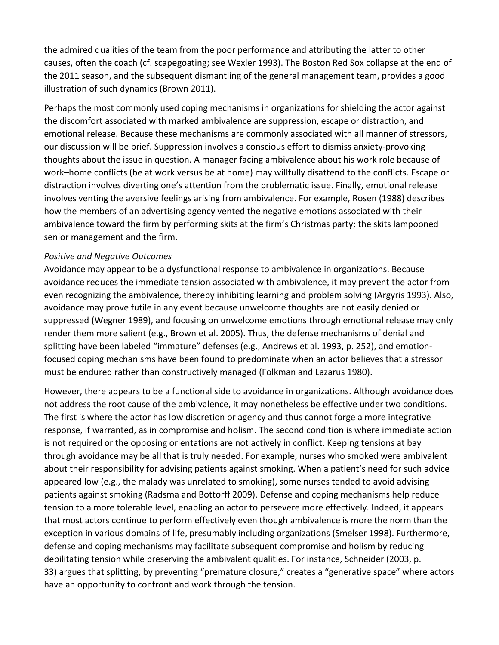the admired qualities of the team from the poor performance and attributing the latter to other causes, often the coach (cf. scapegoating; see Wexler 1993). The Boston Red Sox collapse at the end of the 2011 season, and the subsequent dismantling of the general management team, provides a good illustration of such dynamics (Brown 2011).

Perhaps the most commonly used coping mechanisms in organizations for shielding the actor against the discomfort associated with marked ambivalence are suppression, escape or distraction, and emotional release. Because these mechanisms are commonly associated with all manner of stressors, our discussion will be brief. Suppression involves a conscious effort to dismiss anxiety-provoking thoughts about the issue in question. A manager facing ambivalence about his work role because of work–home conflicts (be at work versus be at home) may willfully disattend to the conflicts. Escape or distraction involves diverting one's attention from the problematic issue. Finally, emotional release involves venting the aversive feelings arising from ambivalence. For example, Rosen (1988) describes how the members of an advertising agency vented the negative emotions associated with their ambivalence toward the firm by performing skits at the firm's Christmas party; the skits lampooned senior management and the firm.

#### *Positive and Negative Outcomes*

Avoidance may appear to be a dysfunctional response to ambivalence in organizations. Because avoidance reduces the immediate tension associated with ambivalence, it may prevent the actor from even recognizing the ambivalence, thereby inhibiting learning and problem solving (Argyris 1993). Also, avoidance may prove futile in any event because unwelcome thoughts are not easily denied or suppressed (Wegner 1989), and focusing on unwelcome emotions through emotional release may only render them more salient (e.g., Brown et al. 2005). Thus, the defense mechanisms of denial and splitting have been labeled "immature" defenses (e.g., Andrews et al. 1993, p. 252), and emotionfocused coping mechanisms have been found to predominate when an actor believes that a stressor must be endured rather than constructively managed (Folkman and Lazarus 1980).

However, there appears to be a functional side to avoidance in organizations. Although avoidance does not address the root cause of the ambivalence, it may nonetheless be effective under two conditions. The first is where the actor has low discretion or agency and thus cannot forge a more integrative response, if warranted, as in compromise and holism. The second condition is where immediate action is not required or the opposing orientations are not actively in conflict. Keeping tensions at bay through avoidance may be all that is truly needed. For example, nurses who smoked were ambivalent about their responsibility for advising patients against smoking. When a patient's need for such advice appeared low (e.g., the malady was unrelated to smoking), some nurses tended to avoid advising patients against smoking (Radsma and Bottorff 2009). Defense and coping mechanisms help reduce tension to a more tolerable level, enabling an actor to persevere more effectively. Indeed, it appears that most actors continue to perform effectively even though ambivalence is more the norm than the exception in various domains of life, presumably including organizations (Smelser 1998). Furthermore, defense and coping mechanisms may facilitate subsequent compromise and holism by reducing debilitating tension while preserving the ambivalent qualities. For instance, Schneider (2003, p. 33) argues that splitting, by preventing "premature closure," creates a "generative space" where actors have an opportunity to confront and work through the tension.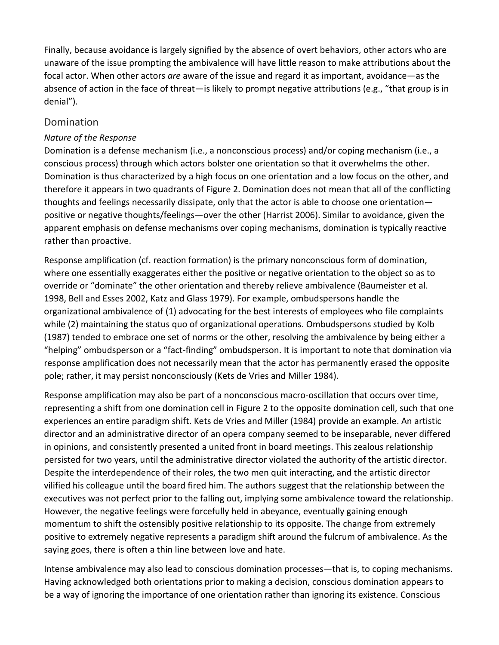Finally, because avoidance is largely signified by the absence of overt behaviors, other actors who are unaware of the issue prompting the ambivalence will have little reason to make attributions about the focal actor. When other actors *are* aware of the issue and regard it as important, avoidance—as the absence of action in the face of threat—is likely to prompt negative attributions (e.g., "that group is in denial").

## Domination

### *Nature of the Response*

Domination is a defense mechanism (i.e., a nonconscious process) and/or coping mechanism (i.e., a conscious process) through which actors bolster one orientation so that it overwhelms the other. Domination is thus characterized by a high focus on one orientation and a low focus on the other, and therefore it appears in two quadrants of Figure 2. Domination does not mean that all of the conflicting thoughts and feelings necessarily dissipate, only that the actor is able to choose one orientation positive or negative thoughts/feelings—over the other (Harrist 2006). Similar to avoidance, given the apparent emphasis on defense mechanisms over coping mechanisms, domination is typically reactive rather than proactive.

Response amplification (cf. reaction formation) is the primary nonconscious form of domination, where one essentially exaggerates either the positive or negative orientation to the object so as to override or "dominate" the other orientation and thereby relieve ambivalence (Baumeister et al. 1998, Bell and Esses 2002, Katz and Glass 1979). For example, ombudspersons handle the organizational ambivalence of (1) advocating for the best interests of employees who file complaints while (2) maintaining the status quo of organizational operations. Ombudspersons studied by Kolb (1987) tended to embrace one set of norms or the other, resolving the ambivalence by being either a "helping" ombudsperson or a "fact-finding" ombudsperson. It is important to note that domination via response amplification does not necessarily mean that the actor has permanently erased the opposite pole; rather, it may persist nonconsciously (Kets de Vries and Miller 1984).

Response amplification may also be part of a nonconscious macro-oscillation that occurs over time, representing a shift from one domination cell in Figure 2 to the opposite domination cell, such that one experiences an entire paradigm shift. Kets de Vries and Miller (1984) provide an example. An artistic director and an administrative director of an opera company seemed to be inseparable, never differed in opinions, and consistently presented a united front in board meetings. This zealous relationship persisted for two years, until the administrative director violated the authority of the artistic director. Despite the interdependence of their roles, the two men quit interacting, and the artistic director vilified his colleague until the board fired him. The authors suggest that the relationship between the executives was not perfect prior to the falling out, implying some ambivalence toward the relationship. However, the negative feelings were forcefully held in abeyance, eventually gaining enough momentum to shift the ostensibly positive relationship to its opposite. The change from extremely positive to extremely negative represents a paradigm shift around the fulcrum of ambivalence. As the saying goes, there is often a thin line between love and hate.

Intense ambivalence may also lead to conscious domination processes—that is, to coping mechanisms. Having acknowledged both orientations prior to making a decision, conscious domination appears to be a way of ignoring the importance of one orientation rather than ignoring its existence. Conscious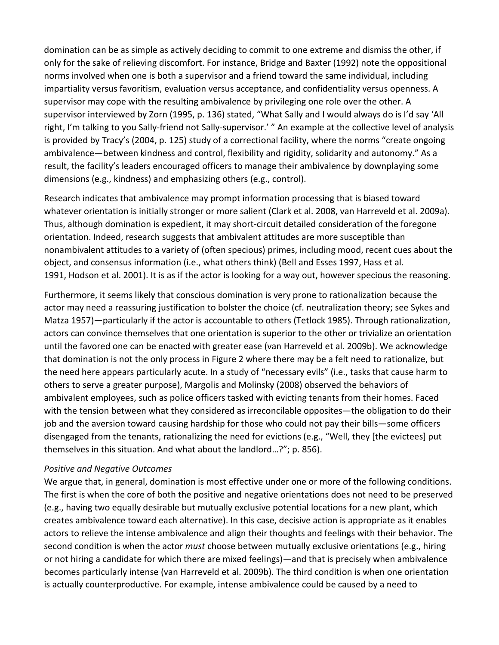domination can be as simple as actively deciding to commit to one extreme and dismiss the other, if only for the sake of relieving discomfort. For instance, Bridge and Baxter (1992) note the oppositional norms involved when one is both a supervisor and a friend toward the same individual, including impartiality versus favoritism, evaluation versus acceptance, and confidentiality versus openness. A supervisor may cope with the resulting ambivalence by privileging one role over the other. A supervisor interviewed by Zorn (1995, p. 136) stated, "What Sally and I would always do is I'd say 'All right, I'm talking to you Sally-friend not Sally-supervisor.' " An example at the collective level of analysis is provided by Tracy's (2004, p. 125) study of a correctional facility, where the norms "create ongoing ambivalence—between kindness and control, flexibility and rigidity, solidarity and autonomy." As a result, the facility's leaders encouraged officers to manage their ambivalence by downplaying some dimensions (e.g., kindness) and emphasizing others (e.g., control).

Research indicates that ambivalence may prompt information processing that is biased toward whatever orientation is initially stronger or more salient (Clark et al. 2008, van Harreveld et al. 2009a). Thus, although domination is expedient, it may short-circuit detailed consideration of the foregone orientation. Indeed, research suggests that ambivalent attitudes are more susceptible than nonambivalent attitudes to a variety of (often specious) primes, including mood, recent cues about the object, and consensus information (i.e., what others think) (Bell and Esses 1997, Hass et al. 1991, Hodson et al. 2001). It is as if the actor is looking for a way out, however specious the reasoning.

Furthermore, it seems likely that conscious domination is very prone to rationalization because the actor may need a reassuring justification to bolster the choice (cf. neutralization theory; see Sykes and Matza 1957)—particularly if the actor is accountable to others (Tetlock 1985). Through rationalization, actors can convince themselves that one orientation is superior to the other or trivialize an orientation until the favored one can be enacted with greater ease (van Harreveld et al. 2009b). We acknowledge that domination is not the only process in Figure 2 where there may be a felt need to rationalize, but the need here appears particularly acute. In a study of "necessary evils" (i.e., tasks that cause harm to others to serve a greater purpose), Margolis and Molinsky (2008) observed the behaviors of ambivalent employees, such as police officers tasked with evicting tenants from their homes. Faced with the tension between what they considered as irreconcilable opposites—the obligation to do their job and the aversion toward causing hardship for those who could not pay their bills—some officers disengaged from the tenants, rationalizing the need for evictions (e.g., "Well, they [the evictees] put themselves in this situation. And what about the landlord…?"; p. 856).

#### *Positive and Negative Outcomes*

We argue that, in general, domination is most effective under one or more of the following conditions. The first is when the core of both the positive and negative orientations does not need to be preserved (e.g., having two equally desirable but mutually exclusive potential locations for a new plant, which creates ambivalence toward each alternative). In this case, decisive action is appropriate as it enables actors to relieve the intense ambivalence and align their thoughts and feelings with their behavior. The second condition is when the actor *must* choose between mutually exclusive orientations (e.g., hiring or not hiring a candidate for which there are mixed feelings)—and that is precisely when ambivalence becomes particularly intense (van Harreveld et al. 2009b). The third condition is when one orientation is actually counterproductive. For example, intense ambivalence could be caused by a need to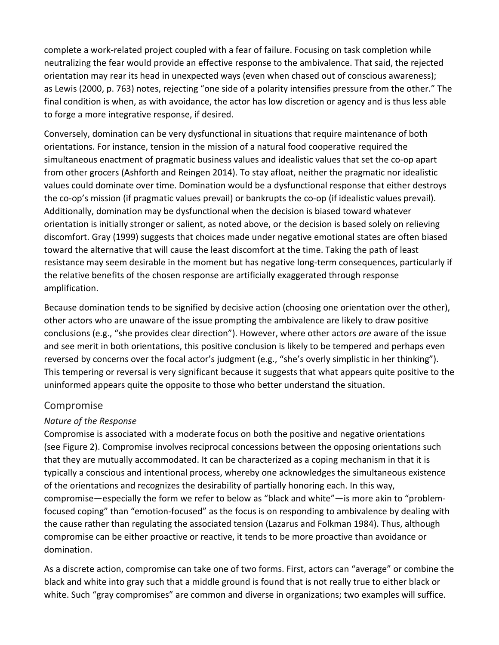complete a work-related project coupled with a fear of failure. Focusing on task completion while neutralizing the fear would provide an effective response to the ambivalence. That said, the rejected orientation may rear its head in unexpected ways (even when chased out of conscious awareness); as Lewis (2000, p. 763) notes, rejecting "one side of a polarity intensifies pressure from the other." The final condition is when, as with avoidance, the actor has low discretion or agency and is thus less able to forge a more integrative response, if desired.

Conversely, domination can be very dysfunctional in situations that require maintenance of both orientations. For instance, tension in the mission of a natural food cooperative required the simultaneous enactment of pragmatic business values and idealistic values that set the co-op apart from other grocers (Ashforth and Reingen 2014). To stay afloat, neither the pragmatic nor idealistic values could dominate over time. Domination would be a dysfunctional response that either destroys the co-op's mission (if pragmatic values prevail) or bankrupts the co-op (if idealistic values prevail). Additionally, domination may be dysfunctional when the decision is biased toward whatever orientation is initially stronger or salient, as noted above, or the decision is based solely on relieving discomfort. Gray (1999) suggests that choices made under negative emotional states are often biased toward the alternative that will cause the least discomfort at the time. Taking the path of least resistance may seem desirable in the moment but has negative long-term consequences, particularly if the relative benefits of the chosen response are artificially exaggerated through response amplification.

Because domination tends to be signified by decisive action (choosing one orientation over the other), other actors who are unaware of the issue prompting the ambivalence are likely to draw positive conclusions (e.g., "she provides clear direction"). However, where other actors *are* aware of the issue and see merit in both orientations, this positive conclusion is likely to be tempered and perhaps even reversed by concerns over the focal actor's judgment (e.g., "she's overly simplistic in her thinking"). This tempering or reversal is very significant because it suggests that what appears quite positive to the uninformed appears quite the opposite to those who better understand the situation.

## Compromise

## *Nature of the Response*

Compromise is associated with a moderate focus on both the positive and negative orientations (see Figure 2). Compromise involves reciprocal concessions between the opposing orientations such that they are mutually accommodated. It can be characterized as a coping mechanism in that it is typically a conscious and intentional process, whereby one acknowledges the simultaneous existence of the orientations and recognizes the desirability of partially honoring each. In this way, compromise—especially the form we refer to below as "black and white"—is more akin to "problemfocused coping" than "emotion-focused" as the focus is on responding to ambivalence by dealing with the cause rather than regulating the associated tension (Lazarus and Folkman 1984). Thus, although compromise can be either proactive or reactive, it tends to be more proactive than avoidance or domination.

As a discrete action, compromise can take one of two forms. First, actors can "average" or combine the black and white into gray such that a middle ground is found that is not really true to either black or white. Such "gray compromises" are common and diverse in organizations; two examples will suffice.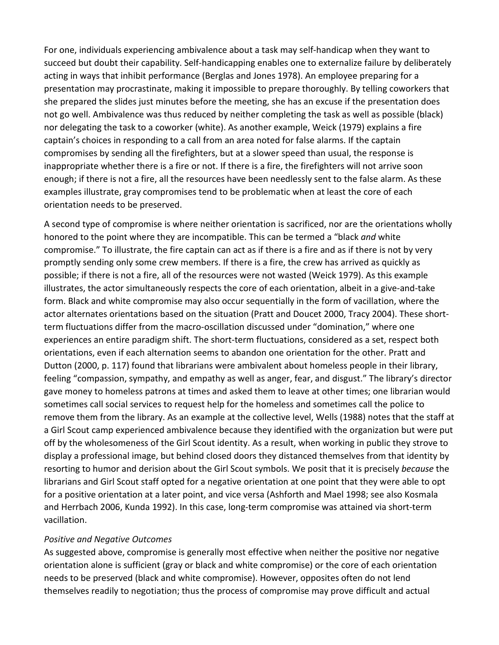For one, individuals experiencing ambivalence about a task may self-handicap when they want to succeed but doubt their capability. Self-handicapping enables one to externalize failure by deliberately acting in ways that inhibit performance (Berglas and Jones 1978). An employee preparing for a presentation may procrastinate, making it impossible to prepare thoroughly. By telling coworkers that she prepared the slides just minutes before the meeting, she has an excuse if the presentation does not go well. Ambivalence was thus reduced by neither completing the task as well as possible (black) nor delegating the task to a coworker (white). As another example, Weick (1979) explains a fire captain's choices in responding to a call from an area noted for false alarms. If the captain compromises by sending all the firefighters, but at a slower speed than usual, the response is inappropriate whether there is a fire or not. If there is a fire, the firefighters will not arrive soon enough; if there is not a fire, all the resources have been needlessly sent to the false alarm. As these examples illustrate, gray compromises tend to be problematic when at least the core of each orientation needs to be preserved.

A second type of compromise is where neither orientation is sacrificed, nor are the orientations wholly honored to the point where they are incompatible. This can be termed a "black *and* white compromise." To illustrate, the fire captain can act as if there is a fire and as if there is not by very promptly sending only some crew members. If there is a fire, the crew has arrived as quickly as possible; if there is not a fire, all of the resources were not wasted (Weick 1979). As this example illustrates, the actor simultaneously respects the core of each orientation, albeit in a give-and-take form. Black and white compromise may also occur sequentially in the form of vacillation, where the actor alternates orientations based on the situation (Pratt and Doucet 2000, Tracy 2004). These shortterm fluctuations differ from the macro-oscillation discussed under "domination," where one experiences an entire paradigm shift. The short-term fluctuations, considered as a set, respect both orientations, even if each alternation seems to abandon one orientation for the other. Pratt and Dutton (2000, p. 117) found that librarians were ambivalent about homeless people in their library, feeling "compassion, sympathy, and empathy as well as anger, fear, and disgust." The library's director gave money to homeless patrons at times and asked them to leave at other times; one librarian would sometimes call social services to request help for the homeless and sometimes call the police to remove them from the library. As an example at the collective level, Wells (1988) notes that the staff at a Girl Scout camp experienced ambivalence because they identified with the organization but were put off by the wholesomeness of the Girl Scout identity. As a result, when working in public they strove to display a professional image, but behind closed doors they distanced themselves from that identity by resorting to humor and derision about the Girl Scout symbols. We posit that it is precisely *because* the librarians and Girl Scout staff opted for a negative orientation at one point that they were able to opt for a positive orientation at a later point, and vice versa (Ashforth and Mael 1998; see also Kosmala and Herrbach 2006, Kunda 1992). In this case, long-term compromise was attained via short-term vacillation.

#### *Positive and Negative Outcomes*

As suggested above, compromise is generally most effective when neither the positive nor negative orientation alone is sufficient (gray or black and white compromise) or the core of each orientation needs to be preserved (black and white compromise). However, opposites often do not lend themselves readily to negotiation; thus the process of compromise may prove difficult and actual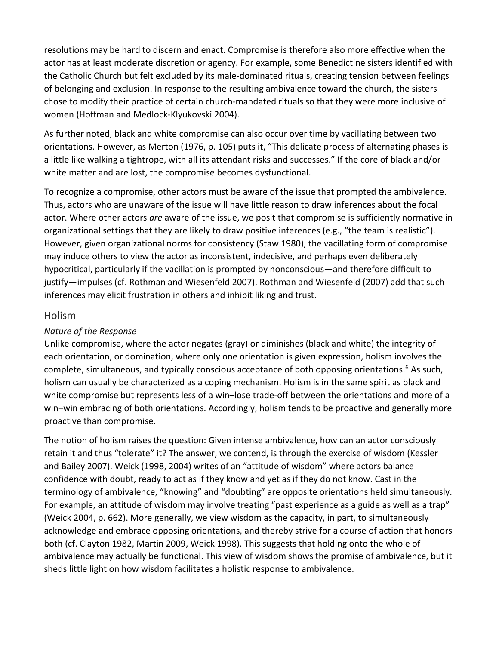resolutions may be hard to discern and enact. Compromise is therefore also more effective when the actor has at least moderate discretion or agency. For example, some Benedictine sisters identified with the Catholic Church but felt excluded by its male-dominated rituals, creating tension between feelings of belonging and exclusion. In response to the resulting ambivalence toward the church, the sisters chose to modify their practice of certain church-mandated rituals so that they were more inclusive of women (Hoffman and Medlock-Klyukovski 2004).

As further noted, black and white compromise can also occur over time by vacillating between two orientations. However, as Merton (1976, p. 105) puts it, "This delicate process of alternating phases is a little like walking a tightrope, with all its attendant risks and successes." If the core of black and/or white matter and are lost, the compromise becomes dysfunctional.

To recognize a compromise, other actors must be aware of the issue that prompted the ambivalence. Thus, actors who are unaware of the issue will have little reason to draw inferences about the focal actor. Where other actors *are* aware of the issue, we posit that compromise is sufficiently normative in organizational settings that they are likely to draw positive inferences (e.g., "the team is realistic"). However, given organizational norms for consistency (Staw 1980), the vacillating form of compromise may induce others to view the actor as inconsistent, indecisive, and perhaps even deliberately hypocritical, particularly if the vacillation is prompted by nonconscious—and therefore difficult to justify—impulses (cf. Rothman and Wiesenfeld 2007). Rothman and Wiesenfeld (2007) add that such inferences may elicit frustration in others and inhibit liking and trust.

## Holism

## *Nature of the Response*

Unlike compromise, where the actor negates (gray) or diminishes (black and white) the integrity of each orientation, or domination, where only one orientation is given expression, holism involves the complete, simultaneous, and typically conscious acceptance of both opposing orientations.<sup>6</sup> As such, holism can usually be characterized as a coping mechanism. Holism is in the same spirit as black and white compromise but represents less of a win–lose trade-off between the orientations and more of a win–win embracing of both orientations. Accordingly, holism tends to be proactive and generally more proactive than compromise.

The notion of holism raises the question: Given intense ambivalence, how can an actor consciously retain it and thus "tolerate" it? The answer, we contend, is through the exercise of wisdom (Kessler and Bailey 2007). Weick (1998, 2004) writes of an "attitude of wisdom" where actors balance confidence with doubt, ready to act as if they know and yet as if they do not know. Cast in the terminology of ambivalence, "knowing" and "doubting" are opposite orientations held simultaneously. For example, an attitude of wisdom may involve treating "past experience as a guide as well as a trap" (Weick 2004, p. 662). More generally, we view wisdom as the capacity, in part, to simultaneously acknowledge and embrace opposing orientations, and thereby strive for a course of action that honors both (cf. Clayton 1982, Martin 2009, Weick 1998). This suggests that holding onto the whole of ambivalence may actually be functional. This view of wisdom shows the promise of ambivalence, but it sheds little light on how wisdom facilitates a holistic response to ambivalence.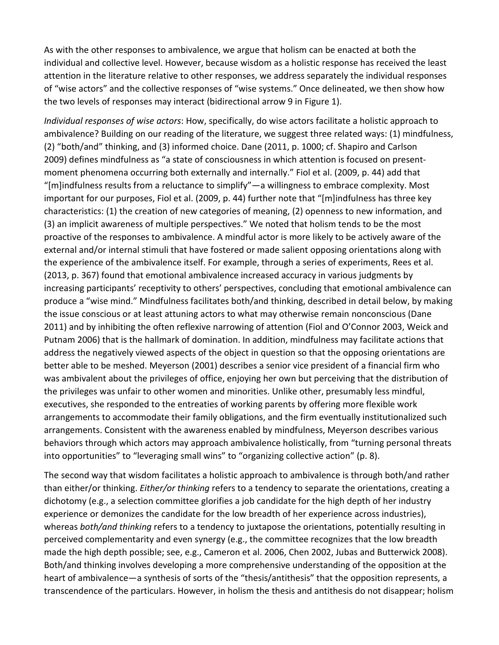As with the other responses to ambivalence, we argue that holism can be enacted at both the individual and collective level. However, because wisdom as a holistic response has received the least attention in the literature relative to other responses, we address separately the individual responses of "wise actors" and the collective responses of "wise systems." Once delineated, we then show how the two levels of responses may interact (bidirectional arrow 9 in Figure 1).

*Individual responses of wise actors*: How, specifically, do wise actors facilitate a holistic approach to ambivalence? Building on our reading of the literature, we suggest three related ways: (1) mindfulness, (2) "both/and" thinking, and (3) informed choice. Dane (2011, p. 1000; cf. Shapiro and Carlson 2009) defines mindfulness as "a state of consciousness in which attention is focused on presentmoment phenomena occurring both externally and internally." Fiol et al. (2009, p. 44) add that "[m]indfulness results from a reluctance to simplify"—a willingness to embrace complexity. Most important for our purposes, Fiol et al. (2009, p. 44) further note that "[m]indfulness has three key characteristics: (1) the creation of new categories of meaning, (2) openness to new information, and (3) an implicit awareness of multiple perspectives." We noted that holism tends to be the most proactive of the responses to ambivalence. A mindful actor is more likely to be actively aware of the external and/or internal stimuli that have fostered or made salient opposing orientations along with the experience of the ambivalence itself. For example, through a series of experiments, Rees et al. (2013, p. 367) found that emotional ambivalence increased accuracy in various judgments by increasing participants' receptivity to others' perspectives, concluding that emotional ambivalence can produce a "wise mind." Mindfulness facilitates both/and thinking, described in detail below, by making the issue conscious or at least attuning actors to what may otherwise remain nonconscious (Dane 2011) and by inhibiting the often reflexive narrowing of attention (Fiol and O'Connor 2003, Weick and Putnam 2006) that is the hallmark of domination. In addition, mindfulness may facilitate actions that address the negatively viewed aspects of the object in question so that the opposing orientations are better able to be meshed. Meyerson (2001) describes a senior vice president of a financial firm who was ambivalent about the privileges of office, enjoying her own but perceiving that the distribution of the privileges was unfair to other women and minorities. Unlike other, presumably less mindful, executives, she responded to the entreaties of working parents by offering more flexible work arrangements to accommodate their family obligations, and the firm eventually institutionalized such arrangements. Consistent with the awareness enabled by mindfulness, Meyerson describes various behaviors through which actors may approach ambivalence holistically, from "turning personal threats into opportunities" to "leveraging small wins" to "organizing collective action" (p. 8).

The second way that wisdom facilitates a holistic approach to ambivalence is through both/and rather than either/or thinking. *Either/or thinking* refers to a tendency to separate the orientations, creating a dichotomy (e.g., a selection committee glorifies a job candidate for the high depth of her industry experience or demonizes the candidate for the low breadth of her experience across industries), whereas *both/and thinking* refers to a tendency to juxtapose the orientations, potentially resulting in perceived complementarity and even synergy (e.g., the committee recognizes that the low breadth made the high depth possible; see, e.g., Cameron et al. 2006, Chen 2002, Jubas and Butterwick 2008). Both/and thinking involves developing a more comprehensive understanding of the opposition at the heart of ambivalence—a synthesis of sorts of the "thesis/antithesis" that the opposition represents, a transcendence of the particulars. However, in holism the thesis and antithesis do not disappear; holism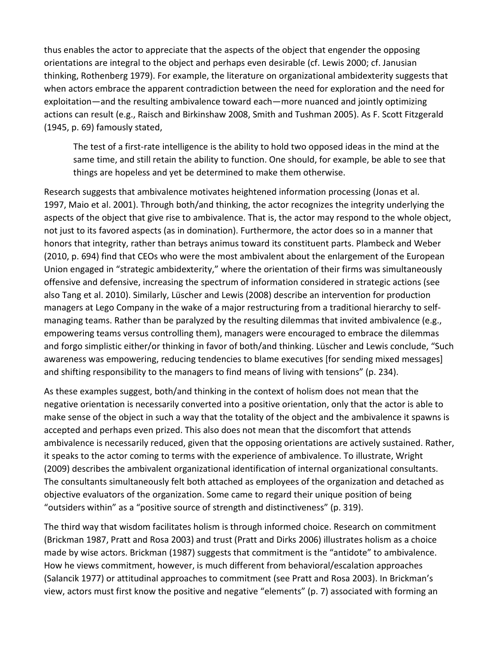thus enables the actor to appreciate that the aspects of the object that engender the opposing orientations are integral to the object and perhaps even desirable (cf. Lewis 2000; cf. Janusian thinking, Rothenberg 1979). For example, the literature on organizational ambidexterity suggests that when actors embrace the apparent contradiction between the need for exploration and the need for exploitation—and the resulting ambivalence toward each—more nuanced and jointly optimizing actions can result (e.g., Raisch and Birkinshaw 2008, Smith and Tushman 2005). As F. Scott Fitzgerald (1945, p. 69) famously stated,

The test of a first-rate intelligence is the ability to hold two opposed ideas in the mind at the same time, and still retain the ability to function. One should, for example, be able to see that things are hopeless and yet be determined to make them otherwise.

Research suggests that ambivalence motivates heightened information processing (Jonas et al. 1997, Maio et al. 2001). Through both/and thinking, the actor recognizes the integrity underlying the aspects of the object that give rise to ambivalence. That is, the actor may respond to the whole object, not just to its favored aspects (as in domination). Furthermore, the actor does so in a manner that honors that integrity, rather than betrays animus toward its constituent parts. Plambeck and Weber (2010, p. 694) find that CEOs who were the most ambivalent about the enlargement of the European Union engaged in "strategic ambidexterity," where the orientation of their firms was simultaneously offensive and defensive, increasing the spectrum of information considered in strategic actions (see also Tang et al. 2010). Similarly, Lüscher and Lewis (2008) describe an intervention for production managers at Lego Company in the wake of a major restructuring from a traditional hierarchy to selfmanaging teams. Rather than be paralyzed by the resulting dilemmas that invited ambivalence (e.g., empowering teams versus controlling them), managers were encouraged to embrace the dilemmas and forgo simplistic either/or thinking in favor of both/and thinking. Lüscher and Lewis conclude, "Such awareness was empowering, reducing tendencies to blame executives [for sending mixed messages] and shifting responsibility to the managers to find means of living with tensions" (p. 234).

As these examples suggest, both/and thinking in the context of holism does not mean that the negative orientation is necessarily converted into a positive orientation, only that the actor is able to make sense of the object in such a way that the totality of the object and the ambivalence it spawns is accepted and perhaps even prized. This also does not mean that the discomfort that attends ambivalence is necessarily reduced, given that the opposing orientations are actively sustained. Rather, it speaks to the actor coming to terms with the experience of ambivalence. To illustrate, Wright (2009) describes the ambivalent organizational identification of internal organizational consultants. The consultants simultaneously felt both attached as employees of the organization and detached as objective evaluators of the organization. Some came to regard their unique position of being "outsiders within" as a "positive source of strength and distinctiveness" (p. 319).

The third way that wisdom facilitates holism is through informed choice. Research on commitment (Brickman 1987, Pratt and Rosa 2003) and trust (Pratt and Dirks 2006) illustrates holism as a choice made by wise actors. Brickman (1987) suggests that commitment is the "antidote" to ambivalence. How he views commitment, however, is much different from behavioral/escalation approaches (Salancik 1977) or attitudinal approaches to commitment (see Pratt and Rosa 2003). In Brickman's view, actors must first know the positive and negative "elements" (p. 7) associated with forming an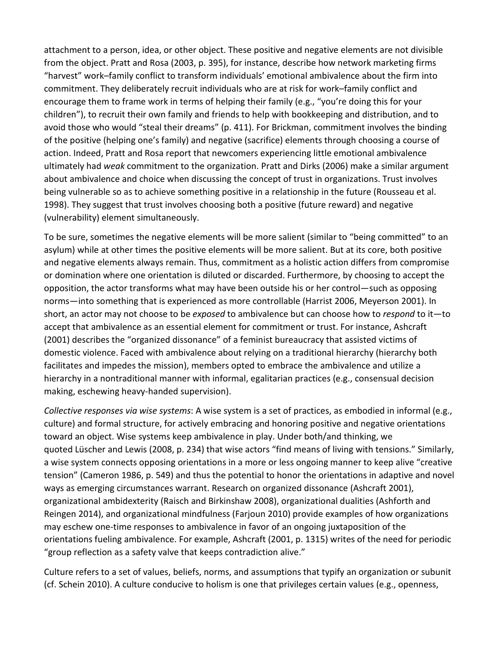attachment to a person, idea, or other object. These positive and negative elements are not divisible from the object. Pratt and Rosa (2003, p. 395), for instance, describe how network marketing firms "harvest" work–family conflict to transform individuals' emotional ambivalence about the firm into commitment. They deliberately recruit individuals who are at risk for work–family conflict and encourage them to frame work in terms of helping their family (e.g., "you're doing this for your children"), to recruit their own family and friends to help with bookkeeping and distribution, and to avoid those who would "steal their dreams" (p. 411). For Brickman, commitment involves the binding of the positive (helping one's family) and negative (sacrifice) elements through choosing a course of action. Indeed, Pratt and Rosa report that newcomers experiencing little emotional ambivalence ultimately had *weak* commitment to the organization. Pratt and Dirks (2006) make a similar argument about ambivalence and choice when discussing the concept of trust in organizations. Trust involves being vulnerable so as to achieve something positive in a relationship in the future (Rousseau et al. 1998). They suggest that trust involves choosing both a positive (future reward) and negative (vulnerability) element simultaneously.

To be sure, sometimes the negative elements will be more salient (similar to "being committed" to an asylum) while at other times the positive elements will be more salient. But at its core, both positive and negative elements always remain. Thus, commitment as a holistic action differs from compromise or domination where one orientation is diluted or discarded. Furthermore, by choosing to accept the opposition, the actor transforms what may have been outside his or her control—such as opposing norms—into something that is experienced as more controllable (Harrist 2006, Meyerson 2001). In short, an actor may not choose to be *exposed* to ambivalence but can choose how to *respond* to it—to accept that ambivalence as an essential element for commitment or trust. For instance, Ashcraft (2001) describes the "organized dissonance" of a feminist bureaucracy that assisted victims of domestic violence. Faced with ambivalence about relying on a traditional hierarchy (hierarchy both facilitates and impedes the mission), members opted to embrace the ambivalence and utilize a hierarchy in a nontraditional manner with informal, egalitarian practices (e.g., consensual decision making, eschewing heavy-handed supervision).

*Collective responses via wise systems*: A wise system is a set of practices, as embodied in informal (e.g., culture) and formal structure, for actively embracing and honoring positive and negative orientations toward an object. Wise systems keep ambivalence in play. Under both/and thinking, we quoted Lüscher and Lewis (2008, p. 234) that wise actors "find means of living with tensions." Similarly, a wise system connects opposing orientations in a more or less ongoing manner to keep alive "creative tension" (Cameron 1986, p. 549) and thus the potential to honor the orientations in adaptive and novel ways as emerging circumstances warrant. Research on organized dissonance (Ashcraft 2001), organizational ambidexterity (Raisch and Birkinshaw 2008), organizational dualities (Ashforth and Reingen 2014), and organizational mindfulness (Farjoun 2010) provide examples of how organizations may eschew one-time responses to ambivalence in favor of an ongoing juxtaposition of the orientations fueling ambivalence. For example, Ashcraft (2001, p. 1315) writes of the need for periodic "group reflection as a safety valve that keeps contradiction alive."

Culture refers to a set of values, beliefs, norms, and assumptions that typify an organization or subunit (cf. Schein 2010). A culture conducive to holism is one that privileges certain values (e.g., openness,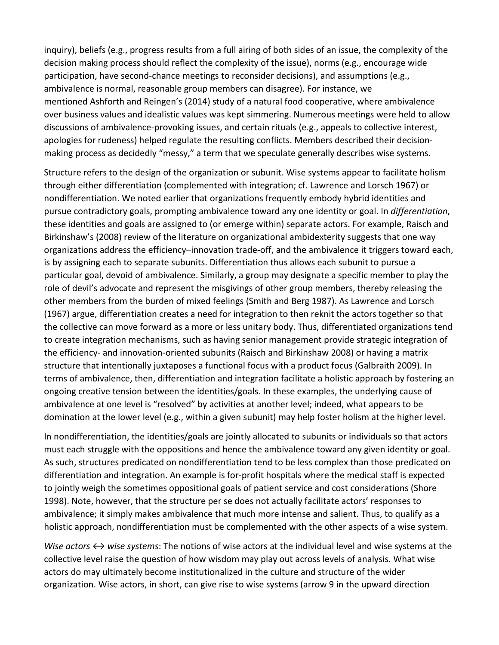inquiry), beliefs (e.g., progress results from a full airing of both sides of an issue, the complexity of the decision making process should reflect the complexity of the issue), norms (e.g., encourage wide participation, have second-chance meetings to reconsider decisions), and assumptions (e.g., ambivalence is normal, reasonable group members can disagree). For instance, we mentioned Ashforth and Reingen's (2014) study of a natural food cooperative, where ambivalence over business values and idealistic values was kept simmering. Numerous meetings were held to allow discussions of ambivalence-provoking issues, and certain rituals (e.g., appeals to collective interest, apologies for rudeness) helped regulate the resulting conflicts. Members described their decisionmaking process as decidedly "messy," a term that we speculate generally describes wise systems.

Structure refers to the design of the organization or subunit. Wise systems appear to facilitate holism through either differentiation (complemented with integration; cf. Lawrence and Lorsch 1967) or nondifferentiation. We noted earlier that organizations frequently embody hybrid identities and pursue contradictory goals, prompting ambivalence toward any one identity or goal. In *differentiation*, these identities and goals are assigned to (or emerge within) separate actors. For example, Raisch and Birkinshaw's (2008) review of the literature on organizational ambidexterity suggests that one way organizations address the efficiency–innovation trade-off, and the ambivalence it triggers toward each, is by assigning each to separate subunits. Differentiation thus allows each subunit to pursue a particular goal, devoid of ambivalence. Similarly, a group may designate a specific member to play the role of devil's advocate and represent the misgivings of other group members, thereby releasing the other members from the burden of mixed feelings (Smith and Berg 1987). As Lawrence and Lorsch (1967) argue, differentiation creates a need for integration to then reknit the actors together so that the collective can move forward as a more or less unitary body. Thus, differentiated organizations tend to create integration mechanisms, such as having senior management provide strategic integration of the efficiency- and innovation-oriented subunits (Raisch and Birkinshaw 2008) or having a matrix structure that intentionally juxtaposes a functional focus with a product focus (Galbraith 2009). In terms of ambivalence, then, differentiation and integration facilitate a holistic approach by fostering an ongoing creative tension between the identities/goals. In these examples, the underlying cause of ambivalence at one level is "resolved" by activities at another level; indeed, what appears to be domination at the lower level (e.g., within a given subunit) may help foster holism at the higher level.

In nondifferentiation, the identities/goals are jointly allocated to subunits or individuals so that actors must each struggle with the oppositions and hence the ambivalence toward any given identity or goal. As such, structures predicated on nondifferentiation tend to be less complex than those predicated on differentiation and integration. An example is for-profit hospitals where the medical staff is expected to jointly weigh the sometimes oppositional goals of patient service and cost considerations (Shore 1998). Note, however, that the structure per se does not actually facilitate actors' responses to ambivalence; it simply makes ambivalence that much more intense and salient. Thus, to qualify as a holistic approach, nondifferentiation must be complemented with the other aspects of a wise system.

*Wise actors*  $\leftrightarrow$  *wise systems*: The notions of wise actors at the individual level and wise systems at the collective level raise the question of how wisdom may play out across levels of analysis. What wise actors do may ultimately become institutionalized in the culture and structure of the wider organization. Wise actors, in short, can give rise to wise systems (arrow 9 in the upward direction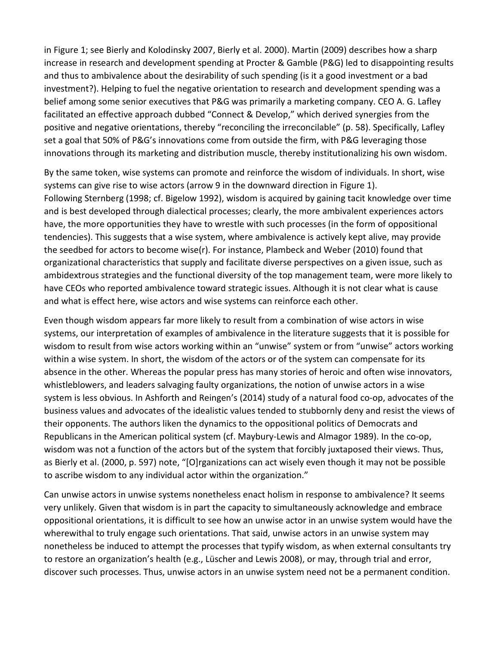in Figure 1; see Bierly and Kolodinsky 2007, Bierly et al. 2000). Martin (2009) describes how a sharp increase in research and development spending at Procter & Gamble (P&G) led to disappointing results and thus to ambivalence about the desirability of such spending (is it a good investment or a bad investment?). Helping to fuel the negative orientation to research and development spending was a belief among some senior executives that P&G was primarily a marketing company. CEO A. G. Lafley facilitated an effective approach dubbed "Connect & Develop," which derived synergies from the positive and negative orientations, thereby "reconciling the irreconcilable" (p. 58). Specifically, Lafley set a goal that 50% of P&G's innovations come from outside the firm, with P&G leveraging those innovations through its marketing and distribution muscle, thereby institutionalizing his own wisdom.

By the same token, wise systems can promote and reinforce the wisdom of individuals. In short, wise systems can give rise to wise actors (arrow 9 in the downward direction in Figure 1). Following Sternberg (1998; cf. Bigelow 1992), wisdom is acquired by gaining tacit knowledge over time and is best developed through dialectical processes; clearly, the more ambivalent experiences actors have, the more opportunities they have to wrestle with such processes (in the form of oppositional tendencies). This suggests that a wise system, where ambivalence is actively kept alive, may provide the seedbed for actors to become wise(r). For instance, Plambeck and Weber (2010) found that organizational characteristics that supply and facilitate diverse perspectives on a given issue, such as ambidextrous strategies and the functional diversity of the top management team, were more likely to have CEOs who reported ambivalence toward strategic issues. Although it is not clear what is cause and what is effect here, wise actors and wise systems can reinforce each other.

Even though wisdom appears far more likely to result from a combination of wise actors in wise systems, our interpretation of examples of ambivalence in the literature suggests that it is possible for wisdom to result from wise actors working within an "unwise" system or from "unwise" actors working within a wise system. In short, the wisdom of the actors or of the system can compensate for its absence in the other. Whereas the popular press has many stories of heroic and often wise innovators, whistleblowers, and leaders salvaging faulty organizations, the notion of unwise actors in a wise system is less obvious. In Ashforth and Reingen's (2014) study of a natural food co-op, advocates of the business values and advocates of the idealistic values tended to stubbornly deny and resist the views of their opponents. The authors liken the dynamics to the oppositional politics of Democrats and Republicans in the American political system (cf. Maybury-Lewis and Almagor 1989). In the co-op, wisdom was not a function of the actors but of the system that forcibly juxtaposed their views. Thus, as Bierly et al. (2000, p. 597) note, "[O]rganizations can act wisely even though it may not be possible to ascribe wisdom to any individual actor within the organization."

Can unwise actors in unwise systems nonetheless enact holism in response to ambivalence? It seems very unlikely. Given that wisdom is in part the capacity to simultaneously acknowledge and embrace oppositional orientations, it is difficult to see how an unwise actor in an unwise system would have the wherewithal to truly engage such orientations. That said, unwise actors in an unwise system may nonetheless be induced to attempt the processes that typify wisdom, as when external consultants try to restore an organization's health (e.g., Lüscher and Lewis 2008), or may, through trial and error, discover such processes. Thus, unwise actors in an unwise system need not be a permanent condition.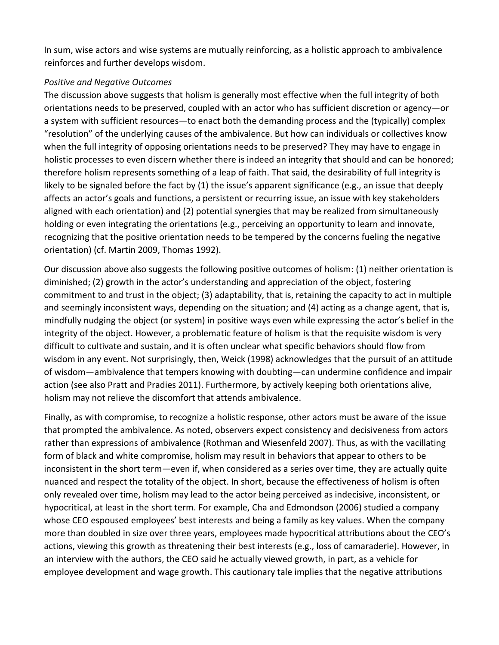In sum, wise actors and wise systems are mutually reinforcing, as a holistic approach to ambivalence reinforces and further develops wisdom.

### *Positive and Negative Outcomes*

The discussion above suggests that holism is generally most effective when the full integrity of both orientations needs to be preserved, coupled with an actor who has sufficient discretion or agency—or a system with sufficient resources—to enact both the demanding process and the (typically) complex "resolution" of the underlying causes of the ambivalence. But how can individuals or collectives know when the full integrity of opposing orientations needs to be preserved? They may have to engage in holistic processes to even discern whether there is indeed an integrity that should and can be honored; therefore holism represents something of a leap of faith. That said, the desirability of full integrity is likely to be signaled before the fact by (1) the issue's apparent significance (e.g., an issue that deeply affects an actor's goals and functions, a persistent or recurring issue, an issue with key stakeholders aligned with each orientation) and (2) potential synergies that may be realized from simultaneously holding or even integrating the orientations (e.g., perceiving an opportunity to learn and innovate, recognizing that the positive orientation needs to be tempered by the concerns fueling the negative orientation) (cf. Martin 2009, Thomas 1992).

Our discussion above also suggests the following positive outcomes of holism: (1) neither orientation is diminished; (2) growth in the actor's understanding and appreciation of the object, fostering commitment to and trust in the object; (3) adaptability, that is, retaining the capacity to act in multiple and seemingly inconsistent ways, depending on the situation; and (4) acting as a change agent, that is, mindfully nudging the object (or system) in positive ways even while expressing the actor's belief in the integrity of the object. However, a problematic feature of holism is that the requisite wisdom is very difficult to cultivate and sustain, and it is often unclear what specific behaviors should flow from wisdom in any event. Not surprisingly, then, Weick (1998) acknowledges that the pursuit of an attitude of wisdom—ambivalence that tempers knowing with doubting—can undermine confidence and impair action (see also Pratt and Pradies 2011). Furthermore, by actively keeping both orientations alive, holism may not relieve the discomfort that attends ambivalence.

Finally, as with compromise, to recognize a holistic response, other actors must be aware of the issue that prompted the ambivalence. As noted, observers expect consistency and decisiveness from actors rather than expressions of ambivalence (Rothman and Wiesenfeld 2007). Thus, as with the vacillating form of black and white compromise, holism may result in behaviors that appear to others to be inconsistent in the short term—even if, when considered as a series over time, they are actually quite nuanced and respect the totality of the object. In short, because the effectiveness of holism is often only revealed over time, holism may lead to the actor being perceived as indecisive, inconsistent, or hypocritical, at least in the short term. For example, Cha and Edmondson (2006) studied a company whose CEO espoused employees' best interests and being a family as key values. When the company more than doubled in size over three years, employees made hypocritical attributions about the CEO's actions, viewing this growth as threatening their best interests (e.g., loss of camaraderie). However, in an interview with the authors, the CEO said he actually viewed growth, in part, as a vehicle for employee development and wage growth. This cautionary tale implies that the negative attributions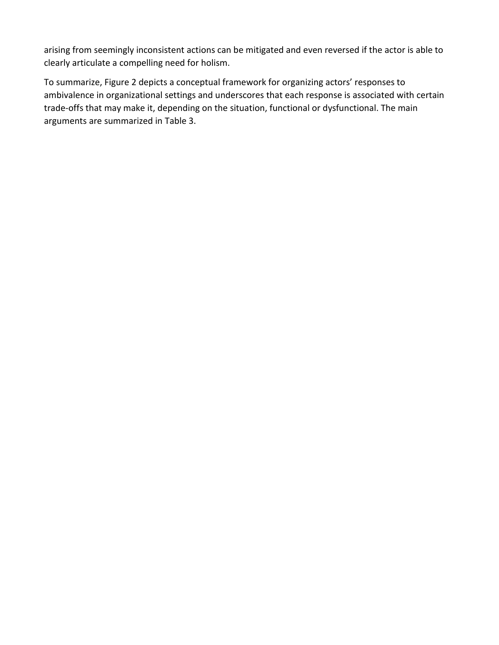arising from seemingly inconsistent actions can be mitigated and even reversed if the actor is able to clearly articulate a compelling need for holism.

To summarize, Figure 2 depicts a conceptual framework for organizing actors' responses to ambivalence in organizational settings and underscores that each response is associated with certain trade-offs that may make it, depending on the situation, functional or dysfunctional. The main arguments are summarized in Table 3.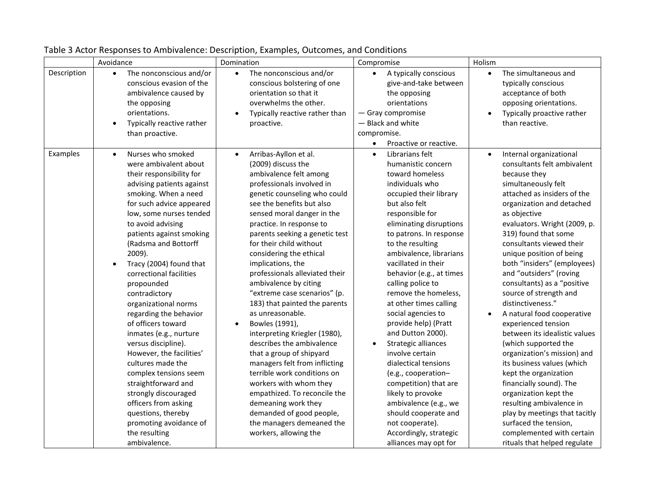| Avoidance                                                                                                                                                                                                                                                                                                                                                                                                                                                                                                                                                                                                                                                                                                                                      | Domination                                                                                                                                                                                                                                                                                                                                                                                                                                                                                                                                                                                                                                                                                                                                                                                                                                                      | Compromise                                                                                                                                                                                                                                                                                                                                                                                                                                                                                                                                                                                                                                                                                                             | Holism                                                                                                                                                                                                                                                                                                                                                                                                                                                                                                                                                                                                                                                                                                                                                                                                                                                    |  |
|------------------------------------------------------------------------------------------------------------------------------------------------------------------------------------------------------------------------------------------------------------------------------------------------------------------------------------------------------------------------------------------------------------------------------------------------------------------------------------------------------------------------------------------------------------------------------------------------------------------------------------------------------------------------------------------------------------------------------------------------|-----------------------------------------------------------------------------------------------------------------------------------------------------------------------------------------------------------------------------------------------------------------------------------------------------------------------------------------------------------------------------------------------------------------------------------------------------------------------------------------------------------------------------------------------------------------------------------------------------------------------------------------------------------------------------------------------------------------------------------------------------------------------------------------------------------------------------------------------------------------|------------------------------------------------------------------------------------------------------------------------------------------------------------------------------------------------------------------------------------------------------------------------------------------------------------------------------------------------------------------------------------------------------------------------------------------------------------------------------------------------------------------------------------------------------------------------------------------------------------------------------------------------------------------------------------------------------------------------|-----------------------------------------------------------------------------------------------------------------------------------------------------------------------------------------------------------------------------------------------------------------------------------------------------------------------------------------------------------------------------------------------------------------------------------------------------------------------------------------------------------------------------------------------------------------------------------------------------------------------------------------------------------------------------------------------------------------------------------------------------------------------------------------------------------------------------------------------------------|--|
| Description<br>The nonconscious and/or<br>$\bullet$<br>conscious evasion of the<br>ambivalence caused by<br>the opposing<br>orientations.<br>Typically reactive rather<br>than proactive.                                                                                                                                                                                                                                                                                                                                                                                                                                                                                                                                                      | The nonconscious and/or<br>$\bullet$<br>conscious bolstering of one<br>orientation so that it<br>overwhelms the other.<br>Typically reactive rather than<br>proactive.                                                                                                                                                                                                                                                                                                                                                                                                                                                                                                                                                                                                                                                                                          | A typically conscious<br>$\bullet$<br>give-and-take between<br>the opposing<br>orientations<br>- Gray compromise<br>- Black and white<br>compromise.<br>$\bullet$<br>Proactive or reactive.                                                                                                                                                                                                                                                                                                                                                                                                                                                                                                                            | The simultaneous and<br>typically conscious<br>acceptance of both<br>opposing orientations.<br>Typically proactive rather<br>than reactive.                                                                                                                                                                                                                                                                                                                                                                                                                                                                                                                                                                                                                                                                                                               |  |
| Examples<br>Nurses who smoked<br>$\bullet$<br>were ambivalent about<br>their responsibility for<br>advising patients against<br>smoking. When a need<br>for such advice appeared<br>low, some nurses tended<br>to avoid advising<br>patients against smoking<br>(Radsma and Bottorff<br>2009).<br>Tracy (2004) found that<br>correctional facilities<br>propounded<br>contradictory<br>organizational norms<br>regarding the behavior<br>of officers toward<br>inmates (e.g., nurture<br>versus discipline).<br>However, the facilities'<br>cultures made the<br>complex tensions seem<br>straightforward and<br>strongly discouraged<br>officers from asking<br>questions, thereby<br>promoting avoidance of<br>the resulting<br>ambivalence. | Arribas-Ayllon et al.<br>$\bullet$<br>(2009) discuss the<br>ambivalence felt among<br>professionals involved in<br>genetic counseling who could<br>see the benefits but also<br>sensed moral danger in the<br>practice. In response to<br>parents seeking a genetic test<br>for their child without<br>considering the ethical<br>implications, the<br>professionals alleviated their<br>ambivalence by citing<br>"extreme case scenarios" (p.<br>183) that painted the parents<br>as unreasonable.<br>Bowles (1991),<br>$\bullet$<br>interpreting Kriegler (1980),<br>describes the ambivalence<br>that a group of shipyard<br>managers felt from inflicting<br>terrible work conditions on<br>workers with whom they<br>empathized. To reconcile the<br>demeaning work they<br>demanded of good people,<br>the managers demeaned the<br>workers, allowing the | Librarians felt<br>$\bullet$<br>humanistic concern<br>toward homeless<br>individuals who<br>occupied their library<br>but also felt<br>responsible for<br>eliminating disruptions<br>to patrons. In response<br>to the resulting<br>ambivalence, librarians<br>vacillated in their<br>behavior (e.g., at times<br>calling police to<br>remove the homeless,<br>at other times calling<br>social agencies to<br>provide help) (Pratt<br>and Dutton 2000).<br>Strategic alliances<br>involve certain<br>dialectical tensions<br>(e.g., cooperation-<br>competition) that are<br>likely to provoke<br>ambivalence (e.g., we<br>should cooperate and<br>not cooperate).<br>Accordingly, strategic<br>alliances may opt for | Internal organizational<br>$\bullet$<br>consultants felt ambivalent<br>because they<br>simultaneously felt<br>attached as insiders of the<br>organization and detached<br>as objective<br>evaluators. Wright (2009, p.<br>319) found that some<br>consultants viewed their<br>unique position of being<br>both "insiders" (employees)<br>and "outsiders" (roving<br>consultants) as a "positive<br>source of strength and<br>distinctiveness."<br>A natural food cooperative<br>experienced tension<br>between its idealistic values<br>(which supported the<br>organization's mission) and<br>its business values (which<br>kept the organization<br>financially sound). The<br>organization kept the<br>resulting ambivalence in<br>play by meetings that tacitly<br>surfaced the tension,<br>complemented with certain<br>rituals that helped regulate |  |

Table 3 Actor Responses to Ambivalence: Description, Examples, Outcomes, and Conditions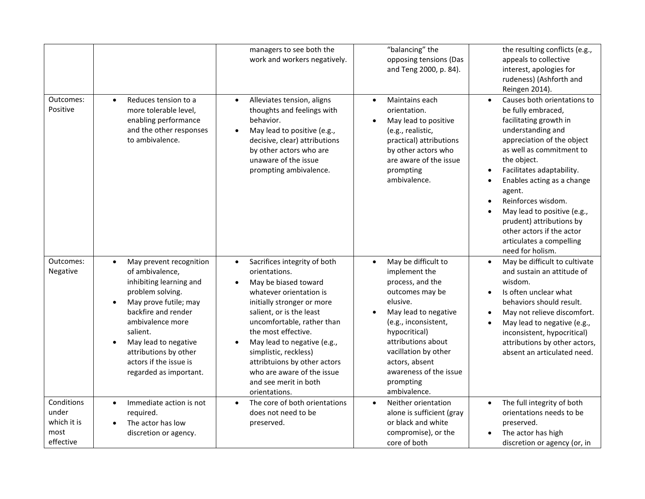|                                                         |                                                                                                                                                                                                                                                                                                                       | managers to see both the<br>work and workers negatively.                                                                                                                                                                                                                                                                                                                                                  | "balancing" the<br>opposing tensions (Das<br>and Teng 2000, p. 84).                                                                                                                                                                                                                          | the resulting conflicts (e.g.,<br>appeals to collective<br>interest, apologies for<br>rudeness) (Ashforth and<br>Reingen 2014).                                                                                                                                                                                                                                                                                           |
|---------------------------------------------------------|-----------------------------------------------------------------------------------------------------------------------------------------------------------------------------------------------------------------------------------------------------------------------------------------------------------------------|-----------------------------------------------------------------------------------------------------------------------------------------------------------------------------------------------------------------------------------------------------------------------------------------------------------------------------------------------------------------------------------------------------------|----------------------------------------------------------------------------------------------------------------------------------------------------------------------------------------------------------------------------------------------------------------------------------------------|---------------------------------------------------------------------------------------------------------------------------------------------------------------------------------------------------------------------------------------------------------------------------------------------------------------------------------------------------------------------------------------------------------------------------|
| Outcomes:<br>Positive                                   | Reduces tension to a<br>$\bullet$<br>more tolerable level,<br>enabling performance<br>and the other responses<br>to ambivalence.                                                                                                                                                                                      | Alleviates tension, aligns<br>$\bullet$<br>thoughts and feelings with<br>behavior.<br>May lead to positive (e.g.,<br>$\bullet$<br>decisive, clear) attributions<br>by other actors who are<br>unaware of the issue<br>prompting ambivalence.                                                                                                                                                              | Maintains each<br>$\bullet$<br>orientation.<br>May lead to positive<br>$\bullet$<br>(e.g., realistic,<br>practical) attributions<br>by other actors who<br>are aware of the issue<br>prompting<br>ambivalence.                                                                               | Causes both orientations to<br>$\bullet$<br>be fully embraced,<br>facilitating growth in<br>understanding and<br>appreciation of the object<br>as well as commitment to<br>the object.<br>Facilitates adaptability.<br>Enables acting as a change<br>agent.<br>Reinforces wisdom.<br>May lead to positive (e.g.,<br>prudent) attributions by<br>other actors if the actor<br>articulates a compelling<br>need for holism. |
| Outcomes:<br>Negative                                   | May prevent recognition<br>$\bullet$<br>of ambivalence,<br>inhibiting learning and<br>problem solving.<br>May prove futile; may<br>$\bullet$<br>backfire and render<br>ambivalence more<br>salient.<br>May lead to negative<br>$\bullet$<br>attributions by other<br>actors if the issue is<br>regarded as important. | Sacrifices integrity of both<br>$\bullet$<br>orientations.<br>May be biased toward<br>$\bullet$<br>whatever orientation is<br>initially stronger or more<br>salient, or is the least<br>uncomfortable, rather than<br>the most effective.<br>May lead to negative (e.g.,<br>simplistic, reckless)<br>attribtuions by other actors<br>who are aware of the issue<br>and see merit in both<br>orientations. | May be difficult to<br>$\bullet$<br>implement the<br>process, and the<br>outcomes may be<br>elusive.<br>May lead to negative<br>(e.g., inconsistent,<br>hypocritical)<br>attributions about<br>vacillation by other<br>actors, absent<br>awareness of the issue<br>prompting<br>ambivalence. | May be difficult to cultivate<br>and sustain an attitude of<br>wisdom.<br>Is often unclear what<br>behaviors should result.<br>May not relieve discomfort.<br>$\bullet$<br>May lead to negative (e.g.,<br>inconsistent, hypocritical)<br>attributions by other actors,<br>absent an articulated need.                                                                                                                     |
| Conditions<br>under<br>which it is<br>most<br>effective | Immediate action is not<br>$\bullet$<br>required.<br>The actor has low<br>discretion or agency.                                                                                                                                                                                                                       | The core of both orientations<br>$\bullet$<br>does not need to be<br>preserved.                                                                                                                                                                                                                                                                                                                           | Neither orientation<br>$\bullet$<br>alone is sufficient (gray<br>or black and white<br>compromise), or the<br>core of both                                                                                                                                                                   | The full integrity of both<br>$\bullet$<br>orientations needs to be<br>preserved.<br>The actor has high<br>discretion or agency (or, in                                                                                                                                                                                                                                                                                   |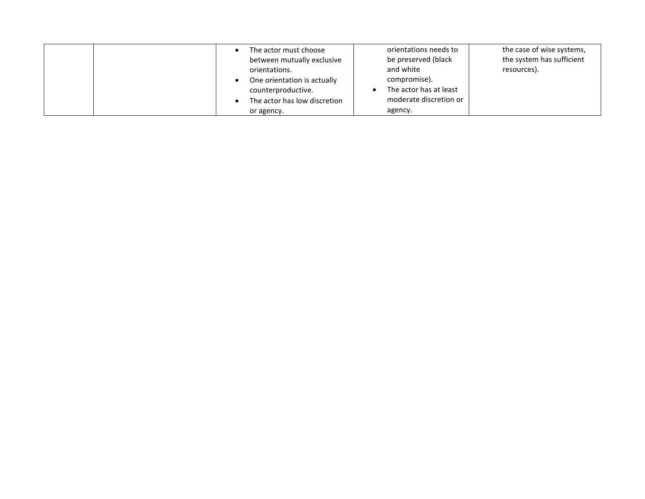|  | The actor must choose        | orientations needs to  | the case of wise systems, |
|--|------------------------------|------------------------|---------------------------|
|  | between mutually exclusive   | be preserved (black    | the system has sufficient |
|  | orientations.                | and white              | resources).               |
|  | One orientation is actually  | compromise).           |                           |
|  | counterproductive.           | The actor has at least |                           |
|  | The actor has low discretion | moderate discretion or |                           |
|  | or agency.                   | agency.                |                           |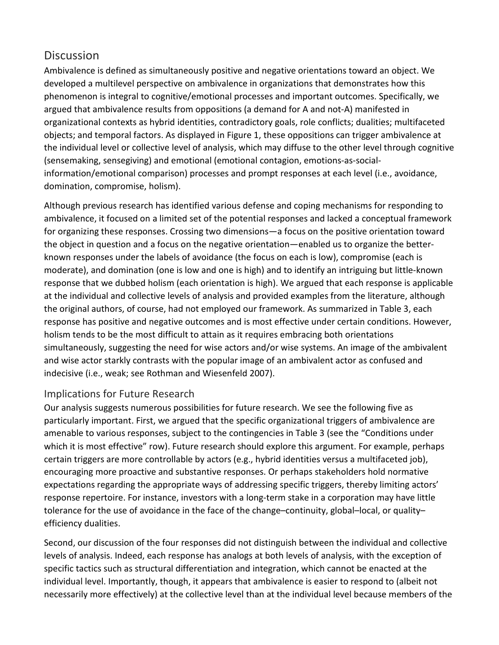## **Discussion**

Ambivalence is defined as simultaneously positive and negative orientations toward an object. We developed a multilevel perspective on ambivalence in organizations that demonstrates how this phenomenon is integral to cognitive/emotional processes and important outcomes. Specifically, we argued that ambivalence results from oppositions (a demand for A and not-A) manifested in organizational contexts as hybrid identities, contradictory goals, role conflicts; dualities; multifaceted objects; and temporal factors. As displayed in Figure 1, these oppositions can trigger ambivalence at the individual level or collective level of analysis, which may diffuse to the other level through cognitive (sensemaking, sensegiving) and emotional (emotional contagion, emotions-as-socialinformation/emotional comparison) processes and prompt responses at each level (i.e., avoidance, domination, compromise, holism).

Although previous research has identified various defense and coping mechanisms for responding to ambivalence, it focused on a limited set of the potential responses and lacked a conceptual framework for organizing these responses. Crossing two dimensions—a focus on the positive orientation toward the object in question and a focus on the negative orientation—enabled us to organize the betterknown responses under the labels of avoidance (the focus on each is low), compromise (each is moderate), and domination (one is low and one is high) and to identify an intriguing but little-known response that we dubbed holism (each orientation is high). We argued that each response is applicable at the individual and collective levels of analysis and provided examples from the literature, although the original authors, of course, had not employed our framework. As summarized in Table 3, each response has positive and negative outcomes and is most effective under certain conditions. However, holism tends to be the most difficult to attain as it requires embracing both orientations simultaneously, suggesting the need for wise actors and/or wise systems. An image of the ambivalent and wise actor starkly contrasts with the popular image of an ambivalent actor as confused and indecisive (i.e., weak; see Rothman and Wiesenfeld 2007).

## Implications for Future Research

Our analysis suggests numerous possibilities for future research. We see the following five as particularly important. First, we argued that the specific organizational triggers of ambivalence are amenable to various responses, subject to the contingencies in Table 3 (see the "Conditions under which it is most effective" row). Future research should explore this argument. For example, perhaps certain triggers are more controllable by actors (e.g., hybrid identities versus a multifaceted job), encouraging more proactive and substantive responses. Or perhaps stakeholders hold normative expectations regarding the appropriate ways of addressing specific triggers, thereby limiting actors' response repertoire. For instance, investors with a long-term stake in a corporation may have little tolerance for the use of avoidance in the face of the change–continuity, global–local, or quality– efficiency dualities.

Second, our discussion of the four responses did not distinguish between the individual and collective levels of analysis. Indeed, each response has analogs at both levels of analysis, with the exception of specific tactics such as structural differentiation and integration, which cannot be enacted at the individual level. Importantly, though, it appears that ambivalence is easier to respond to (albeit not necessarily more effectively) at the collective level than at the individual level because members of the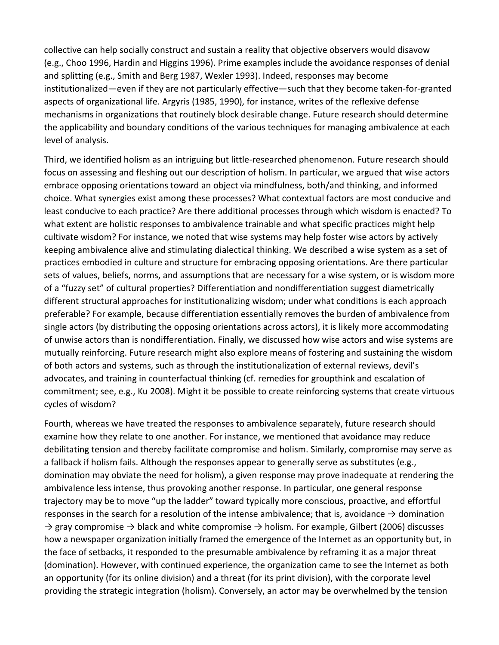collective can help socially construct and sustain a reality that objective observers would disavow (e.g., Choo 1996, Hardin and Higgins 1996). Prime examples include the avoidance responses of denial and splitting (e.g., Smith and Berg 1987, Wexler 1993). Indeed, responses may become institutionalized—even if they are not particularly effective—such that they become taken-for-granted aspects of organizational life. Argyris (1985, 1990), for instance, writes of the reflexive defense mechanisms in organizations that routinely block desirable change. Future research should determine the applicability and boundary conditions of the various techniques for managing ambivalence at each level of analysis.

Third, we identified holism as an intriguing but little-researched phenomenon. Future research should focus on assessing and fleshing out our description of holism. In particular, we argued that wise actors embrace opposing orientations toward an object via mindfulness, both/and thinking, and informed choice. What synergies exist among these processes? What contextual factors are most conducive and least conducive to each practice? Are there additional processes through which wisdom is enacted? To what extent are holistic responses to ambivalence trainable and what specific practices might help cultivate wisdom? For instance, we noted that wise systems may help foster wise actors by actively keeping ambivalence alive and stimulating dialectical thinking. We described a wise system as a set of practices embodied in culture and structure for embracing opposing orientations. Are there particular sets of values, beliefs, norms, and assumptions that are necessary for a wise system, or is wisdom more of a "fuzzy set" of cultural properties? Differentiation and nondifferentiation suggest diametrically different structural approaches for institutionalizing wisdom; under what conditions is each approach preferable? For example, because differentiation essentially removes the burden of ambivalence from single actors (by distributing the opposing orientations across actors), it is likely more accommodating of unwise actors than is nondifferentiation. Finally, we discussed how wise actors and wise systems are mutually reinforcing. Future research might also explore means of fostering and sustaining the wisdom of both actors and systems, such as through the institutionalization of external reviews, devil's advocates, and training in counterfactual thinking (cf. remedies for groupthink and escalation of commitment; see, e.g., Ku 2008). Might it be possible to create reinforcing systems that create virtuous cycles of wisdom?

Fourth, whereas we have treated the responses to ambivalence separately, future research should examine how they relate to one another. For instance, we mentioned that avoidance may reduce debilitating tension and thereby facilitate compromise and holism. Similarly, compromise may serve as a fallback if holism fails. Although the responses appear to generally serve as substitutes (e.g., domination may obviate the need for holism), a given response may prove inadequate at rendering the ambivalence less intense, thus provoking another response. In particular, one general response trajectory may be to move "up the ladder" toward typically more conscious, proactive, and effortful responses in the search for a resolution of the intense ambivalence; that is, avoidance  $\rightarrow$  domination  $\rightarrow$  gray compromise  $\rightarrow$  black and white compromise  $\rightarrow$  holism. For example, Gilbert (2006) discusses how a newspaper organization initially framed the emergence of the Internet as an opportunity but, in the face of setbacks, it responded to the presumable ambivalence by reframing it as a major threat (domination). However, with continued experience, the organization came to see the Internet as both an opportunity (for its online division) and a threat (for its print division), with the corporate level providing the strategic integration (holism). Conversely, an actor may be overwhelmed by the tension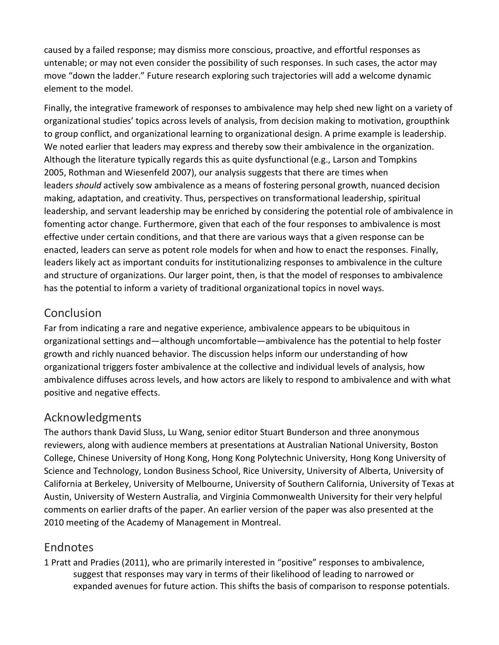caused by a failed response; may dismiss more conscious, proactive, and effortful responses as untenable; or may not even consider the possibility of such responses. In such cases, the actor may move "down the ladder." Future research exploring such trajectories will add a welcome dynamic element to the model.

Finally, the integrative framework of responses to ambivalence may help shed new light on a variety of organizational studies' topics across levels of analysis, from decision making to motivation, groupthink to group conflict, and organizational learning to organizational design. A prime example is leadership. We noted earlier that leaders may express and thereby sow their ambivalence in the organization. Although the literature typically regards this as quite dysfunctional (e.g., Larson and Tompkins 2005, Rothman and Wiesenfeld 2007), our analysis suggests that there are times when leaders *should* actively sow ambivalence as a means of fostering personal growth, nuanced decision making, adaptation, and creativity. Thus, perspectives on transformational leadership, spiritual leadership, and servant leadership may be enriched by considering the potential role of ambivalence in fomenting actor change. Furthermore, given that each of the four responses to ambivalence is most effective under certain conditions, and that there are various ways that a given response can be enacted, leaders can serve as potent role models for when and how to enact the responses. Finally, leaders likely act as important conduits for institutionalizing responses to ambivalence in the culture and structure of organizations. Our larger point, then, is that the model of responses to ambivalence has the potential to inform a variety of traditional organizational topics in novel ways.

# Conclusion

Far from indicating a rare and negative experience, ambivalence appears to be ubiquitous in organizational settings and—although uncomfortable—ambivalence has the potential to help foster growth and richly nuanced behavior. The discussion helps inform our understanding of how organizational triggers foster ambivalence at the collective and individual levels of analysis, how ambivalence diffuses across levels, and how actors are likely to respond to ambivalence and with what positive and negative effects.

## Acknowledgments

The authors thank David Sluss, Lu Wang, senior editor Stuart Bunderson and three anonymous reviewers, along with audience members at presentations at Australian National University, Boston College, Chinese University of Hong Kong, Hong Kong Polytechnic University, Hong Kong University of Science and Technology, London Business School, Rice University, University of Alberta, University of California at Berkeley, University of Melbourne, University of Southern California, University of Texas at Austin, University of Western Australia, and Virginia Commonwealth University for their very helpful comments on earlier drafts of the paper. An earlier version of the paper was also presented at the 2010 meeting of the Academy of Management in Montreal.

# Endnotes

1 Pratt and Pradies (2011), who are primarily interested in "positive" responses to ambivalence, suggest that responses may vary in terms of their likelihood of leading to narrowed or expanded avenues for future action. This shifts the basis of comparison to response potentials.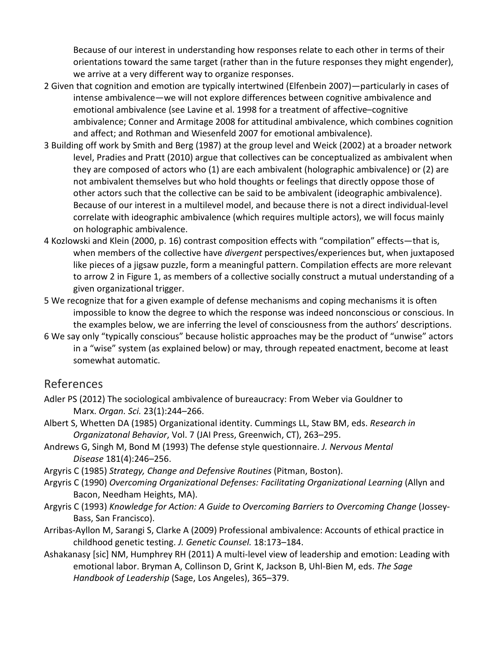Because of our interest in understanding how responses relate to each other in terms of their orientations toward the same target (rather than in the future responses they might engender), we arrive at a very different way to organize responses.

- 2 Given that cognition and emotion are typically intertwined (Elfenbein 2007)—particularly in cases of intense ambivalence—we will not explore differences between cognitive ambivalence and emotional ambivalence (see Lavine et al. 1998 for a treatment of affective–cognitive ambivalence; Conner and Armitage 2008 for attitudinal ambivalence, which combines cognition and affect; and Rothman and Wiesenfeld 2007 for emotional ambivalence).
- 3 Building off work by Smith and Berg (1987) at the group level and Weick (2002) at a broader network level, Pradies and Pratt (2010) argue that collectives can be conceptualized as ambivalent when they are composed of actors who (1) are each ambivalent (holographic ambivalence) or (2) are not ambivalent themselves but who hold thoughts or feelings that directly oppose those of other actors such that the collective can be said to be ambivalent (ideographic ambivalence). Because of our interest in a multilevel model, and because there is not a direct individual-level correlate with ideographic ambivalence (which requires multiple actors), we will focus mainly on holographic ambivalence.
- 4 Kozlowski and Klein (2000, p. 16) contrast composition effects with "compilation" effects—that is, when members of the collective have *divergent* perspectives/experiences but, when juxtaposed like pieces of a jigsaw puzzle, form a meaningful pattern. Compilation effects are more relevant to arrow 2 in Figure 1, as members of a collective socially construct a mutual understanding of a given organizational trigger.
- 5 We recognize that for a given example of defense mechanisms and coping mechanisms it is often impossible to know the degree to which the response was indeed nonconscious or conscious. In the examples below, we are inferring the level of consciousness from the authors' descriptions.
- 6 We say only "typically conscious" because holistic approaches may be the product of "unwise" actors in a "wise" system (as explained below) or may, through repeated enactment, become at least somewhat automatic.

## References

- Adler PS (2012) The sociological ambivalence of bureaucracy: From Weber via Gouldner to Marx. *Organ. Sci.* 23(1):244–266.
- Albert S, Whetten DA (1985) Organizational identity. Cummings LL, Staw BM, eds. *Research in Organizatonal Behavior*, Vol. 7 (JAI Press, Greenwich, CT), 263–295.
- Andrews G, Singh M, Bond M (1993) The defense style questionnaire. *J. Nervous Mental Disease* 181(4):246–256.
- Argyris C (1985) *Strategy, Change and Defensive Routines* (Pitman, Boston).
- Argyris C (1990) *Overcoming Organizational Defenses: Facilitating Organizational Learning* (Allyn and Bacon, Needham Heights, MA).
- Argyris C (1993) *Knowledge for Action: A Guide to Overcoming Barriers to Overcoming Change* (Jossey-Bass, San Francisco).
- Arribas-Ayllon M, Sarangi S, Clarke A (2009) Professional ambivalence: Accounts of ethical practice in childhood genetic testing. *J. Genetic Counsel.* 18:173–184.
- Ashakanasy [sic] NM, Humphrey RH (2011) A multi-level view of leadership and emotion: Leading with emotional labor. Bryman A, Collinson D, Grint K, Jackson B, Uhl-Bien M, eds. *The Sage Handbook of Leadership* (Sage, Los Angeles), 365–379.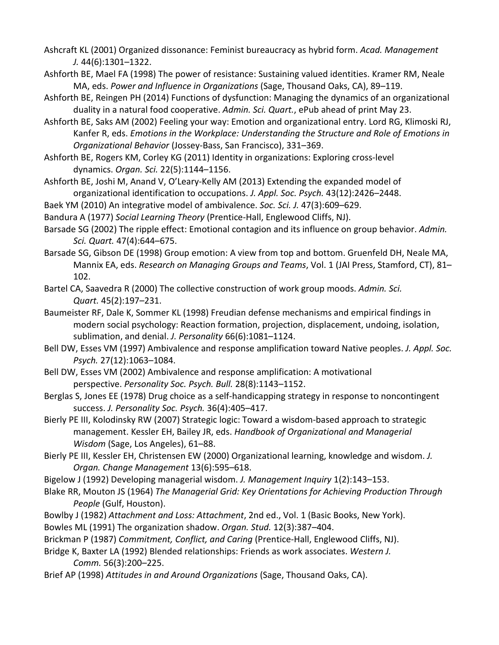Ashcraft KL (2001) Organized dissonance: Feminist bureaucracy as hybrid form. *Acad. Management J.* 44(6):1301–1322.

Ashforth BE, Mael FA (1998) The power of resistance: Sustaining valued identities. Kramer RM, Neale MA, eds. *Power and Influence in Organizations* (Sage, Thousand Oaks, CA), 89–119.

Ashforth BE, Reingen PH (2014) Functions of dysfunction: Managing the dynamics of an organizational duality in a natural food cooperative. *Admin. Sci. Quart.*, ePub ahead of print May 23.

- Ashforth BE, Saks AM (2002) Feeling your way: Emotion and organizational entry. Lord RG, Klimoski RJ, Kanfer R, eds. *Emotions in the Workplace: Understanding the Structure and Role of Emotions in Organizational Behavior* (Jossey-Bass, San Francisco), 331–369.
- Ashforth BE, Rogers KM, Corley KG (2011) Identity in organizations: Exploring cross-level dynamics. *Organ. Sci.* 22(5):1144–1156.
- Ashforth BE, Joshi M, Anand V, O'Leary-Kelly AM (2013) Extending the expanded model of organizational identification to occupations. *J. Appl. Soc. Psych.* 43(12):2426–2448.
- Baek YM (2010) An integrative model of ambivalence. *Soc. Sci. J.* 47(3):609–629.
- Bandura A (1977) *Social Learning Theory* (Prentice-Hall, Englewood Cliffs, NJ).
- Barsade SG (2002) The ripple effect: Emotional contagion and its influence on group behavior. *Admin. Sci. Quart.* 47(4):644–675.
- Barsade SG, Gibson DE (1998) Group emotion: A view from top and bottom. Gruenfeld DH, Neale MA, Mannix EA, eds. *Research on Managing Groups and Teams*, Vol. 1 (JAI Press, Stamford, CT), 81– 102.
- Bartel CA, Saavedra R (2000) The collective construction of work group moods. *Admin. Sci. Quart.* 45(2):197–231.
- Baumeister RF, Dale K, Sommer KL (1998) Freudian defense mechanisms and empirical findings in modern social psychology: Reaction formation, projection, displacement, undoing, isolation, sublimation, and denial. *J. Personality* 66(6):1081–1124.
- Bell DW, Esses VM (1997) Ambivalence and response amplification toward Native peoples. *J. Appl. Soc. Psych.* 27(12):1063–1084.
- Bell DW, Esses VM (2002) Ambivalence and response amplification: A motivational perspective. *Personality Soc. Psych. Bull.* 28(8):1143–1152.
- Berglas S, Jones EE (1978) Drug choice as a self-handicapping strategy in response to noncontingent success. *J. Personality Soc. Psych.* 36(4):405–417.
- Bierly PE III, Kolodinsky RW (2007) Strategic logic: Toward a wisdom-based approach to strategic management. Kessler EH, Bailey JR, eds. *Handbook of Organizational and Managerial Wisdom* (Sage, Los Angeles), 61–88.
- Bierly PE III, Kessler EH, Christensen EW (2000) Organizational learning, knowledge and wisdom. *J. Organ. Change Management* 13(6):595–618.
- Bigelow J (1992) Developing managerial wisdom. *J. Management Inquiry* 1(2):143–153.
- Blake RR, Mouton JS (1964) *The Managerial Grid: Key Orientations for Achieving Production Through People* (Gulf, Houston).
- Bowlby J (1982) *Attachment and Loss: Attachment*, 2nd ed., Vol. 1 (Basic Books, New York).
- Bowles ML (1991) The organization shadow. *Organ. Stud.* 12(3):387–404.
- Brickman P (1987) *Commitment, Conflict, and Caring* (Prentice-Hall, Englewood Cliffs, NJ).
- Bridge K, Baxter LA (1992) Blended relationships: Friends as work associates. *Western J. Comm.* 56(3):200–225.
- Brief AP (1998) *Attitudes in and Around Organizations* (Sage, Thousand Oaks, CA).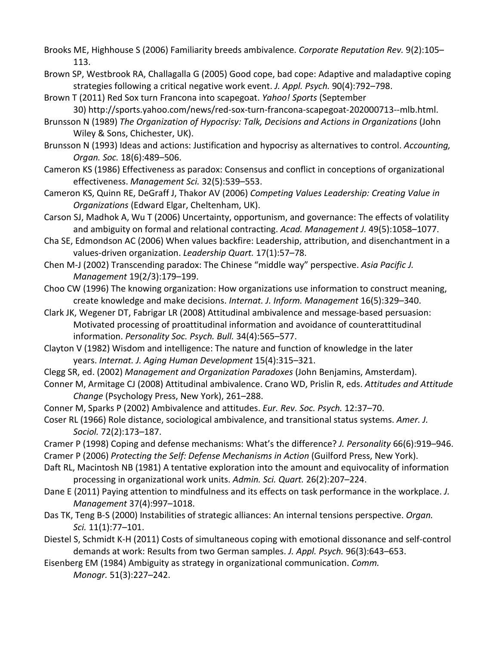Brooks ME, Highhouse S (2006) Familiarity breeds ambivalence. *Corporate Reputation Rev.* 9(2):105– 113.

- Brown SP, Westbrook RA, Challagalla G (2005) Good cope, bad cope: Adaptive and maladaptive coping strategies following a critical negative work event. *J. Appl. Psych.* 90(4):792–798.
- Brown T (2011) Red Sox turn Francona into scapegoat. *Yahoo! Sports* (September
	- 30) http://sports.yahoo.com/news/red-sox-turn-francona-scapegoat-202000713--mlb.html.
- Brunsson N (1989) *The Organization of Hypocrisy: Talk, Decisions and Actions in Organizations* (John Wiley & Sons, Chichester, UK).
- Brunsson N (1993) Ideas and actions: Justification and hypocrisy as alternatives to control. *Accounting, Organ. Soc.* 18(6):489–506.
- Cameron KS (1986) Effectiveness as paradox: Consensus and conflict in conceptions of organizational effectiveness. *Management Sci.* 32(5):539–553.
- Cameron KS, Quinn RE, DeGraff J, Thakor AV (2006) *Competing Values Leadership: Creating Value in Organizations* (Edward Elgar, Cheltenham, UK).
- Carson SJ, Madhok A, Wu T (2006) Uncertainty, opportunism, and governance: The effects of volatility and ambiguity on formal and relational contracting. *Acad. Management J.* 49(5):1058–1077.
- Cha SE, Edmondson AC (2006) When values backfire: Leadership, attribution, and disenchantment in a values-driven organization. *Leadership Quart.* 17(1):57–78.
- Chen M-J (2002) Transcending paradox: The Chinese "middle way" perspective. *Asia Pacific J. Management* 19(2/3):179–199.
- Choo CW (1996) The knowing organization: How organizations use information to construct meaning, create knowledge and make decisions. *Internat. J. Inform. Management* 16(5):329–340.
- Clark JK, Wegener DT, Fabrigar LR (2008) Attitudinal ambivalence and message-based persuasion: Motivated processing of proattitudinal information and avoidance of counterattitudinal information. *Personality Soc. Psych. Bull.* 34(4):565–577.
- Clayton V (1982) Wisdom and intelligence: The nature and function of knowledge in the later years. *Internat. J. Aging Human Development* 15(4):315–321.
- Clegg SR, ed. (2002) *Management and Organization Paradoxes* (John Benjamins, Amsterdam).
- Conner M, Armitage CJ (2008) Attitudinal ambivalence. Crano WD, Prislin R, eds. *Attitudes and Attitude Change* (Psychology Press, New York), 261–288.
- Conner M, Sparks P (2002) Ambivalence and attitudes. *Eur. Rev. Soc. Psych.* 12:37–70.
- Coser RL (1966) Role distance, sociological ambivalence, and transitional status systems. *Amer. J. Sociol.* 72(2):173–187.
- Cramer P (1998) Coping and defense mechanisms: What's the difference? *J. Personality* 66(6):919–946.
- Cramer P (2006) *Protecting the Self: Defense Mechanisms in Action* (Guilford Press, New York).
- Daft RL, Macintosh NB (1981) A tentative exploration into the amount and equivocality of information processing in organizational work units. *Admin. Sci. Quart.* 26(2):207–224.
- Dane E (2011) Paying attention to mindfulness and its effects on task performance in the workplace. *J. Management* 37(4):997–1018.
- Das TK, Teng B-S (2000) Instabilities of strategic alliances: An internal tensions perspective. *Organ. Sci.* 11(1):77–101.
- Diestel S, Schmidt K-H (2011) Costs of simultaneous coping with emotional dissonance and self-control demands at work: Results from two German samples. *J. Appl. Psych.* 96(3):643–653.
- Eisenberg EM (1984) Ambiguity as strategy in organizational communication. *Comm. Monogr.* 51(3):227–242.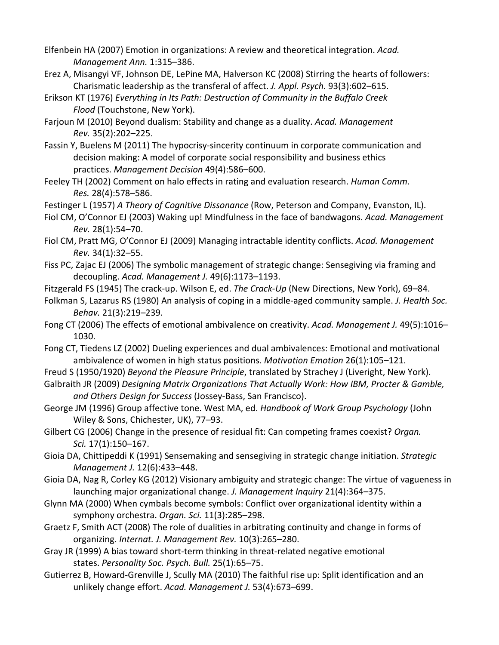Elfenbein HA (2007) Emotion in organizations: A review and theoretical integration. *Acad. Management Ann.* 1:315–386.

- Erez A, Misangyi VF, Johnson DE, LePine MA, Halverson KC (2008) Stirring the hearts of followers: Charismatic leadership as the transferal of affect. *J. Appl. Psych.* 93(3):602–615.
- Erikson KT (1976) *Everything in Its Path: Destruction of Community in the Buffalo Creek Flood* (Touchstone, New York).
- Farjoun M (2010) Beyond dualism: Stability and change as a duality. *Acad. Management Rev.* 35(2):202–225.
- Fassin Y, Buelens M (2011) The hypocrisy-sincerity continuum in corporate communication and decision making: A model of corporate social responsibility and business ethics practices. *Management Decision* 49(4):586–600.
- Feeley TH (2002) Comment on halo effects in rating and evaluation research. *Human Comm. Res.* 28(4):578–586.

Festinger L (1957) *A Theory of Cognitive Dissonance* (Row, Peterson and Company, Evanston, IL).

- Fiol CM, O'Connor EJ (2003) Waking up! Mindfulness in the face of bandwagons. *Acad. Management Rev.* 28(1):54–70.
- Fiol CM, Pratt MG, O'Connor EJ (2009) Managing intractable identity conflicts. *Acad. Management Rev.* 34(1):32–55.
- Fiss PC, Zajac EJ (2006) The symbolic management of strategic change: Sensegiving via framing and decoupling. *Acad. Management J.* 49(6):1173–1193.
- Fitzgerald FS (1945) The crack-up. Wilson E, ed. *The Crack-Up* (New Directions, New York), 69–84.
- Folkman S, Lazarus RS (1980) An analysis of coping in a middle-aged community sample. *J. Health Soc. Behav.* 21(3):219–239.
- Fong CT (2006) The effects of emotional ambivalence on creativity. *Acad. Management J.* 49(5):1016– 1030.
- Fong CT, Tiedens LZ (2002) Dueling experiences and dual ambivalences: Emotional and motivational ambivalence of women in high status positions. *Motivation Emotion* 26(1):105–121.
- Freud S (1950/1920) *Beyond the Pleasure Principle*, translated by Strachey J (Liveright, New York).
- Galbraith JR (2009) *Designing Matrix Organizations That Actually Work: How IBM, Procter & Gamble, and Others Design for Success* (Jossey-Bass, San Francisco).
- George JM (1996) Group affective tone. West MA, ed. *Handbook of Work Group Psychology* (John Wiley & Sons, Chichester, UK), 77–93.

Gilbert CG (2006) Change in the presence of residual fit: Can competing frames coexist? *Organ. Sci.* 17(1):150–167.

- Gioia DA, Chittipeddi K (1991) Sensemaking and sensegiving in strategic change initiation. *Strategic Management J.* 12(6):433–448.
- Gioia DA, Nag R, Corley KG (2012) Visionary ambiguity and strategic change: The virtue of vagueness in launching major organizational change. *J. Management Inquiry* 21(4):364–375.
- Glynn MA (2000) When cymbals become symbols: Conflict over organizational identity within a symphony orchestra. *Organ. Sci.* 11(3):285–298.
- Graetz F, Smith ACT (2008) The role of dualities in arbitrating continuity and change in forms of organizing. *Internat. J. Management Rev.* 10(3):265–280.
- Gray JR (1999) A bias toward short-term thinking in threat-related negative emotional states. *Personality Soc. Psych. Bull.* 25(1):65–75.
- Gutierrez B, Howard-Grenville J, Scully MA (2010) The faithful rise up: Split identification and an unlikely change effort. *Acad. Management J.* 53(4):673–699.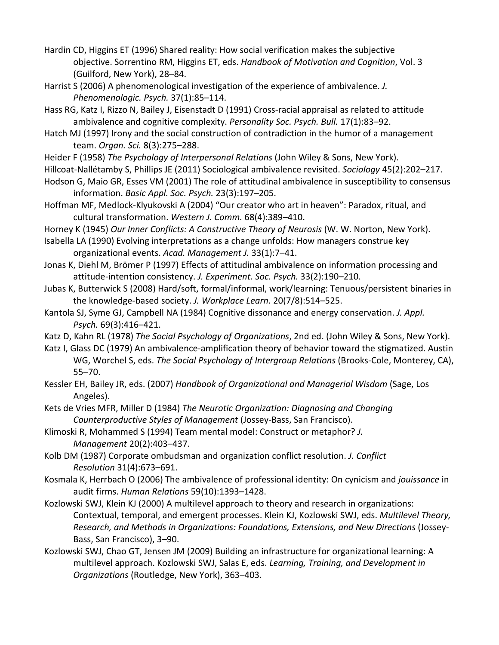- Hardin CD, Higgins ET (1996) Shared reality: How social verification makes the subjective objective. Sorrentino RM, Higgins ET, eds. *Handbook of Motivation and Cognition*, Vol. 3 (Guilford, New York), 28–84.
- Harrist S (2006) A phenomenological investigation of the experience of ambivalence. *J. Phenomenologic. Psych.* 37(1):85–114.
- Hass RG, Katz I, Rizzo N, Bailey J, Eisenstadt D (1991) Cross-racial appraisal as related to attitude ambivalence and cognitive complexity. *Personality Soc. Psych. Bull.* 17(1):83–92.
- Hatch MJ (1997) Irony and the social construction of contradiction in the humor of a management team. *Organ. Sci.* 8(3):275–288.
- Heider F (1958) *The Psychology of Interpersonal Relations* (John Wiley & Sons, New York).
- Hillcoat-Nallétamby S, Phillips JE (2011) Sociological ambivalence revisited. *Sociology* 45(2):202–217.
- Hodson G, Maio GR, Esses VM (2001) The role of attitudinal ambivalence in susceptibility to consensus information. *Basic Appl. Soc. Psych.* 23(3):197–205.
- Hoffman MF, Medlock-Klyukovski A (2004) "Our creator who art in heaven": Paradox, ritual, and cultural transformation. *Western J. Comm.* 68(4):389–410.
- Horney K (1945) *Our Inner Conflicts: A Constructive Theory of Neurosis* (W. W. Norton, New York).
- Isabella LA (1990) Evolving interpretations as a change unfolds: How managers construe key organizational events. *Acad. Management J.* 33(1):7–41.
- Jonas K, Diehl M, Brömer P (1997) Effects of attitudinal ambivalence on information processing and attitude-intention consistency. *J. Experiment. Soc. Psych.* 33(2):190–210.
- Jubas K, Butterwick S (2008) Hard/soft, formal/informal, work/learning: Tenuous/persistent binaries in the knowledge-based society. *J. Workplace Learn.* 20(7/8):514–525.
- Kantola SJ, Syme GJ, Campbell NA (1984) Cognitive dissonance and energy conservation. *J. Appl. Psych.* 69(3):416–421.
- Katz D, Kahn RL (1978) *The Social Psychology of Organizations*, 2nd ed. (John Wiley & Sons, New York).
- Katz I, Glass DC (1979) An ambivalence-amplification theory of behavior toward the stigmatized. Austin WG, Worchel S, eds. *The Social Psychology of Intergroup Relations* (Brooks-Cole, Monterey, CA), 55–70.
- Kessler EH, Bailey JR, eds. (2007) *Handbook of Organizational and Managerial Wisdom* (Sage, Los Angeles).
- Kets de Vries MFR, Miller D (1984) *The Neurotic Organization: Diagnosing and Changing Counterproductive Styles of Management* (Jossey-Bass, San Francisco).
- Klimoski R, Mohammed S (1994) Team mental model: Construct or metaphor? *J. Management* 20(2):403–437.
- Kolb DM (1987) Corporate ombudsman and organization conflict resolution. *J. Conflict Resolution* 31(4):673–691.
- Kosmala K, Herrbach O (2006) The ambivalence of professional identity: On cynicism and *jouissance* in audit firms. *Human Relations* 59(10):1393–1428.
- Kozlowski SWJ, Klein KJ (2000) A multilevel approach to theory and research in organizations: Contextual, temporal, and emergent processes. Klein KJ, Kozlowski SWJ, eds. *Multilevel Theory, Research, and Methods in Organizations: Foundations, Extensions, and New Directions* (Jossey-Bass, San Francisco), 3–90.
- Kozlowski SWJ, Chao GT, Jensen JM (2009) Building an infrastructure for organizational learning: A multilevel approach. Kozlowski SWJ, Salas E, eds. *Learning, Training, and Development in Organizations* (Routledge, New York), 363–403.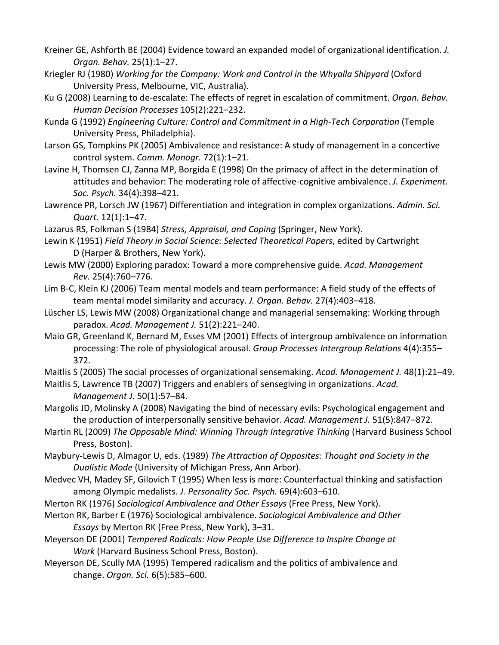- Kreiner GE, Ashforth BE (2004) Evidence toward an expanded model of organizational identification. *J. Organ. Behav.* 25(1):1–27.
- Kriegler RJ (1980) *Working for the Company: Work and Control in the Whyalla Shipyard* (Oxford University Press, Melbourne, VIC, Australia).
- Ku G (2008) Learning to de-escalate: The effects of regret in escalation of commitment. *Organ. Behav. Human Decision Processes* 105(2):221–232.
- Kunda G (1992) *Engineering Culture: Control and Commitment in a High-Tech Corporation* (Temple University Press, Philadelphia).
- Larson GS, Tompkins PK (2005) Ambivalence and resistance: A study of management in a concertive control system. *Comm. Monogr.* 72(1):1–21.
- Lavine H, Thomsen CJ, Zanna MP, Borgida E (1998) On the primacy of affect in the determination of attitudes and behavior: The moderating role of affective-cognitive ambivalence. *J. Experiment. Soc. Psych.* 34(4):398–421.
- Lawrence PR, Lorsch JW (1967) Differentiation and integration in complex organizations. *Admin. Sci. Quart.* 12(1):1–47.
- Lazarus RS, Folkman S (1984) *Stress, Appraisal, and Coping* (Springer, New York).
- Lewin K (1951) *Field Theory in Social Science: Selected Theoretical Papers*, edited by Cartwright D (Harper & Brothers, New York).
- Lewis MW (2000) Exploring paradox: Toward a more comprehensive guide. *Acad. Management Rev.* 25(4):760–776.
- Lim B-C, Klein KJ (2006) Team mental models and team performance: A field study of the effects of team mental model similarity and accuracy. *J. Organ. Behav.* 27(4):403–418.
- Lüscher LS, Lewis MW (2008) Organizational change and managerial sensemaking: Working through paradox. *Acad. Management J.* 51(2):221–240.
- Maio GR, Greenland K, Bernard M, Esses VM (2001) Effects of intergroup ambivalence on information processing: The role of physiological arousal. *Group Processes Intergroup Relations* 4(4):355– 372.

Maitlis S (2005) The social processes of organizational sensemaking. *Acad. Management J.* 48(1):21–49.

- Maitlis S, Lawrence TB (2007) Triggers and enablers of sensegiving in organizations. *Acad. Management J.* 50(1):57–84.
- Margolis JD, Molinsky A (2008) Navigating the bind of necessary evils: Psychological engagement and the production of interpersonally sensitive behavior. *Acad. Management J.* 51(5):847–872.
- Martin RL (2009) *The Opposable Mind: Winning Through Integrative Thinking* (Harvard Business School Press, Boston).
- Maybury-Lewis D, Almagor U, eds. (1989) *The Attraction of Opposites: Thought and Society in the Dualistic Mode* (University of Michigan Press, Ann Arbor).
- Medvec VH, Madey SF, Gilovich T (1995) When less is more: Counterfactual thinking and satisfaction among Olympic medalists. *J. Personality Soc. Psych.* 69(4):603–610.
- Merton RK (1976) *Sociological Ambivalence and Other Essays* (Free Press, New York).
- Merton RK, Barber E (1976) Sociological ambivalence. *Sociological Ambivalence and Other Essays* by Merton RK (Free Press, New York), 3–31.
- Meyerson DE (2001) *Tempered Radicals: How People Use Difference to Inspire Change at Work* (Harvard Business School Press, Boston).
- Meyerson DE, Scully MA (1995) Tempered radicalism and the politics of ambivalence and change. *Organ. Sci.* 6(5):585–600.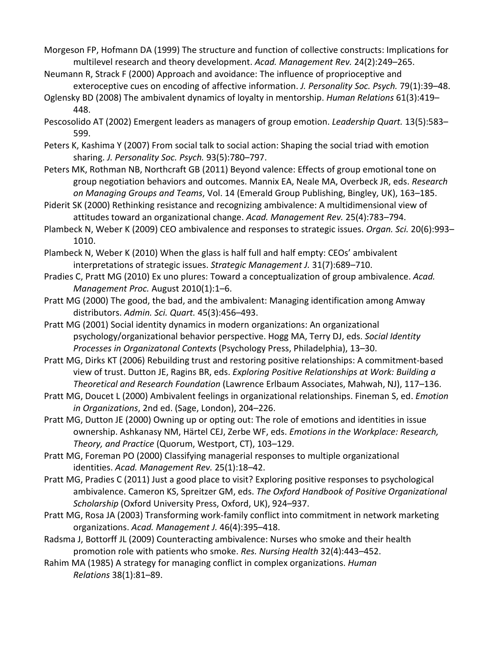Morgeson FP, Hofmann DA (1999) The structure and function of collective constructs: Implications for multilevel research and theory development. *Acad. Management Rev.* 24(2):249–265.

- Neumann R, Strack F (2000) Approach and avoidance: The influence of proprioceptive and exteroceptive cues on encoding of affective information. *J. Personality Soc. Psych.* 79(1):39–48.
- Oglensky BD (2008) The ambivalent dynamics of loyalty in mentorship. *Human Relations* 61(3):419– 448.
- Pescosolido AT (2002) Emergent leaders as managers of group emotion. *Leadership Quart.* 13(5):583– 599.
- Peters K, Kashima Y (2007) From social talk to social action: Shaping the social triad with emotion sharing. *J. Personality Soc. Psych.* 93(5):780–797.
- Peters MK, Rothman NB, Northcraft GB (2011) Beyond valence: Effects of group emotional tone on group negotiation behaviors and outcomes. Mannix EA, Neale MA, Overbeck JR, eds. *Research on Managing Groups and Teams*, Vol. 14 (Emerald Group Publishing, Bingley, UK), 163–185.
- Piderit SK (2000) Rethinking resistance and recognizing ambivalence: A multidimensional view of attitudes toward an organizational change. *Acad. Management Rev.* 25(4):783–794.
- Plambeck N, Weber K (2009) CEO ambivalence and responses to strategic issues. *Organ. Sci.* 20(6):993– 1010.
- Plambeck N, Weber K (2010) When the glass is half full and half empty: CEOs' ambivalent interpretations of strategic issues. *Strategic Management J.* 31(7):689–710.
- Pradies C, Pratt MG (2010) Ex uno plures: Toward a conceptualization of group ambivalence. *Acad. Management Proc.* August 2010(1):1–6.
- Pratt MG (2000) The good, the bad, and the ambivalent: Managing identification among Amway distributors. *Admin. Sci. Quart.* 45(3):456–493.
- Pratt MG (2001) Social identity dynamics in modern organizations: An organizational psychology/organizational behavior perspective. Hogg MA, Terry DJ, eds. *Social Identity Processes in Organizatonal Contexts* (Psychology Press, Philadelphia), 13–30.
- Pratt MG, Dirks KT (2006) Rebuilding trust and restoring positive relationships: A commitment-based view of trust. Dutton JE, Ragins BR, eds. *Exploring Positive Relationships at Work: Building a Theoretical and Research Foundation* (Lawrence Erlbaum Associates, Mahwah, NJ), 117–136.
- Pratt MG, Doucet L (2000) Ambivalent feelings in organizational relationships. Fineman S, ed. *Emotion in Organizations*, 2nd ed. (Sage, London), 204–226.
- Pratt MG, Dutton JE (2000) Owning up or opting out: The role of emotions and identities in issue ownership. Ashkanasy NM, Härtel CEJ, Zerbe WF, eds. *Emotions in the Workplace: Research, Theory, and Practice* (Quorum, Westport, CT), 103–129.
- Pratt MG, Foreman PO (2000) Classifying managerial responses to multiple organizational identities. *Acad. Management Rev.* 25(1):18–42.
- Pratt MG, Pradies C (2011) Just a good place to visit? Exploring positive responses to psychological ambivalence. Cameron KS, Spreitzer GM, eds. *The Oxford Handbook of Positive Organizational Scholarship* (Oxford University Press, Oxford, UK), 924–937.
- Pratt MG, Rosa JA (2003) Transforming work-family conflict into commitment in network marketing organizations. *Acad. Management J.* 46(4):395–418.
- Radsma J, Bottorff JL (2009) Counteracting ambivalence: Nurses who smoke and their health promotion role with patients who smoke. *Res. Nursing Health* 32(4):443–452.
- Rahim MA (1985) A strategy for managing conflict in complex organizations. *Human Relations* 38(1):81–89.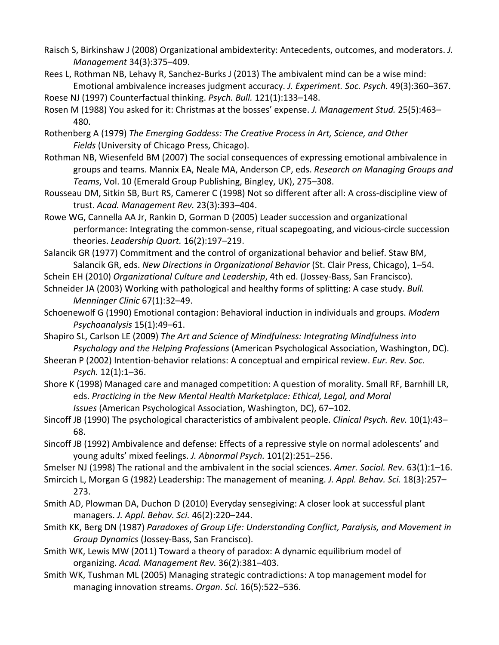- Raisch S, Birkinshaw J (2008) Organizational ambidexterity: Antecedents, outcomes, and moderators. *J. Management* 34(3):375–409.
- Rees L, Rothman NB, Lehavy R, Sanchez-Burks J (2013) The ambivalent mind can be a wise mind: Emotional ambivalence increases judgment accuracy. *J. Experiment. Soc. Psych.* 49(3):360–367.

Roese NJ (1997) Counterfactual thinking. *Psych. Bull.* 121(1):133–148.

- Rosen M (1988) You asked for it: Christmas at the bosses' expense. *J. Management Stud.* 25(5):463– 480.
- Rothenberg A (1979) *The Emerging Goddess: The Creative Process in Art, Science, and Other Fields* (University of Chicago Press, Chicago).
- Rothman NB, Wiesenfeld BM (2007) The social consequences of expressing emotional ambivalence in groups and teams. Mannix EA, Neale MA, Anderson CP, eds. *Research on Managing Groups and Teams*, Vol. 10 (Emerald Group Publishing, Bingley, UK), 275–308.
- Rousseau DM, Sitkin SB, Burt RS, Camerer C (1998) Not so different after all: A cross-discipline view of trust. *Acad. Management Rev.* 23(3):393–404.
- Rowe WG, Cannella AA Jr, Rankin D, Gorman D (2005) Leader succession and organizational performance: Integrating the common-sense, ritual scapegoating, and vicious-circle succession theories. *Leadership Quart.* 16(2):197–219.
- Salancik GR (1977) Commitment and the control of organizational behavior and belief. Staw BM, Salancik GR, eds. *New Directions in Organizational Behavior* (St. Clair Press, Chicago), 1–54.
- Schein EH (2010) *Organizational Culture and Leadership*, 4th ed. (Jossey-Bass, San Francisco).
- Schneider JA (2003) Working with pathological and healthy forms of splitting: A case study. *Bull. Menninger Clinic* 67(1):32–49.
- Schoenewolf G (1990) Emotional contagion: Behavioral induction in individuals and groups. *Modern Psychoanalysis* 15(1):49–61.
- Shapiro SL, Carlson LE (2009) *The Art and Science of Mindfulness: Integrating Mindfulness into Psychology and the Helping Professions* (American Psychological Association, Washington, DC).
- Sheeran P (2002) Intention-behavior relations: A conceptual and empirical review. *Eur. Rev. Soc. Psych.* 12(1):1–36.
- Shore K (1998) Managed care and managed competition: A question of morality. Small RF, Barnhill LR, eds. *Practicing in the New Mental Health Marketplace: Ethical, Legal, and Moral Issues* (American Psychological Association, Washington, DC), 67–102.
- Sincoff JB (1990) The psychological characteristics of ambivalent people. *Clinical Psych. Rev.* 10(1):43– 68.
- Sincoff JB (1992) Ambivalence and defense: Effects of a repressive style on normal adolescents' and young adults' mixed feelings. *J. Abnormal Psych.* 101(2):251–256.
- Smelser NJ (1998) The rational and the ambivalent in the social sciences. *Amer. Sociol. Rev.* 63(1):1–16.
- Smircich L, Morgan G (1982) Leadership: The management of meaning. *J. Appl. Behav. Sci.* 18(3):257– 273.
- Smith AD, Plowman DA, Duchon D (2010) Everyday sensegiving: A closer look at successful plant managers. *J. Appl. Behav. Sci.* 46(2):220–244.
- Smith KK, Berg DN (1987) *Paradoxes of Group Life: Understanding Conflict, Paralysis, and Movement in Group Dynamics* (Jossey-Bass, San Francisco).
- Smith WK, Lewis MW (2011) Toward a theory of paradox: A dynamic equilibrium model of organizing. *Acad. Management Rev.* 36(2):381–403.
- Smith WK, Tushman ML (2005) Managing strategic contradictions: A top management model for managing innovation streams. *Organ. Sci.* 16(5):522–536.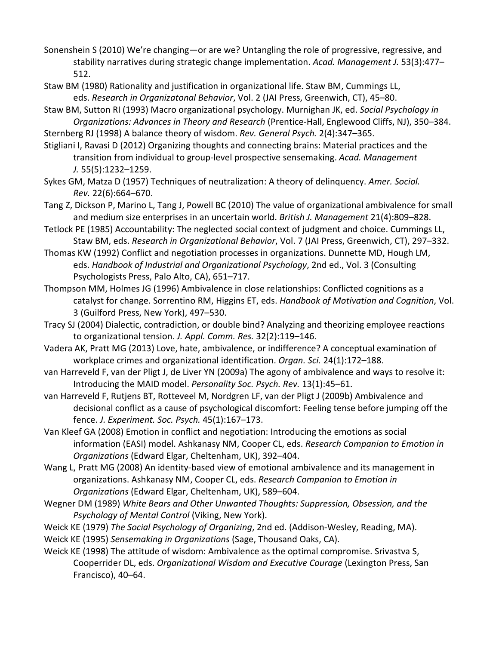- Sonenshein S (2010) We're changing—or are we? Untangling the role of progressive, regressive, and stability narratives during strategic change implementation. *Acad. Management J.* 53(3):477– 512.
- Staw BM (1980) Rationality and justification in organizational life. Staw BM, Cummings LL, eds. *Research in Organizatonal Behavior*, Vol. 2 (JAI Press, Greenwich, CT), 45–80.
- Staw BM, Sutton RI (1993) Macro organizational psychology. Murnighan JK, ed. *Social Psychology in Organizations: Advances in Theory and Research* (Prentice-Hall, Englewood Cliffs, NJ), 350–384.
- Sternberg RJ (1998) A balance theory of wisdom. *Rev. General Psych.* 2(4):347–365.
- Stigliani I, Ravasi D (2012) Organizing thoughts and connecting brains: Material practices and the transition from individual to group-level prospective sensemaking. *Acad. Management J.* 55(5):1232–1259.
- Sykes GM, Matza D (1957) Techniques of neutralization: A theory of delinquency. *Amer. Sociol. Rev.* 22(6):664–670.
- Tang Z, Dickson P, Marino L, Tang J, Powell BC (2010) The value of organizational ambivalence for small and medium size enterprises in an uncertain world. *British J. Management* 21(4):809–828.
- Tetlock PE (1985) Accountability: The neglected social context of judgment and choice. Cummings LL, Staw BM, eds. *Research in Organizational Behavior*, Vol. 7 (JAI Press, Greenwich, CT), 297–332.
- Thomas KW (1992) Conflict and negotiation processes in organizations. Dunnette MD, Hough LM, eds. *Handbook of Industrial and Organizational Psychology*, 2nd ed., Vol. 3 (Consulting Psychologists Press, Palo Alto, CA), 651–717.
- Thompson MM, Holmes JG (1996) Ambivalence in close relationships: Conflicted cognitions as a catalyst for change. Sorrentino RM, Higgins ET, eds. *Handbook of Motivation and Cognition*, Vol. 3 (Guilford Press, New York), 497–530.
- Tracy SJ (2004) Dialectic, contradiction, or double bind? Analyzing and theorizing employee reactions to organizational tension. *J. Appl. Comm. Res.* 32(2):119–146.
- Vadera AK, Pratt MG (2013) Love, hate, ambivalence, or indifference? A conceptual examination of workplace crimes and organizational identification. *Organ. Sci.* 24(1):172–188.
- van Harreveld F, van der Pligt J, de Liver YN (2009a) The agony of ambivalence and ways to resolve it: Introducing the MAID model. *Personality Soc. Psych. Rev.* 13(1):45–61.
- van Harreveld F, Rutjens BT, Rotteveel M, Nordgren LF, van der Pligt J (2009b) Ambivalence and decisional conflict as a cause of psychological discomfort: Feeling tense before jumping off the fence. *J. Experiment. Soc. Psych.* 45(1):167–173.
- Van Kleef GA (2008) Emotion in conflict and negotiation: Introducing the emotions as social information (EASI) model. Ashkanasy NM, Cooper CL, eds. *Research Companion to Emotion in Organizations* (Edward Elgar, Cheltenham, UK), 392–404.
- Wang L, Pratt MG (2008) An identity-based view of emotional ambivalence and its management in organizations. Ashkanasy NM, Cooper CL, eds. *Research Companion to Emotion in Organizations* (Edward Elgar, Cheltenham, UK), 589–604.
- Wegner DM (1989) *White Bears and Other Unwanted Thoughts: Suppression, Obsession, and the Psychology of Mental Control* (Viking, New York).
- Weick KE (1979) *The Social Psychology of Organizing*, 2nd ed. (Addison-Wesley, Reading, MA).
- Weick KE (1995) *Sensemaking in Organizations* (Sage, Thousand Oaks, CA).
- Weick KE (1998) The attitude of wisdom: Ambivalence as the optimal compromise. Srivastva S, Cooperrider DL, eds. *Organizational Wisdom and Executive Courage* (Lexington Press, San Francisco), 40–64.